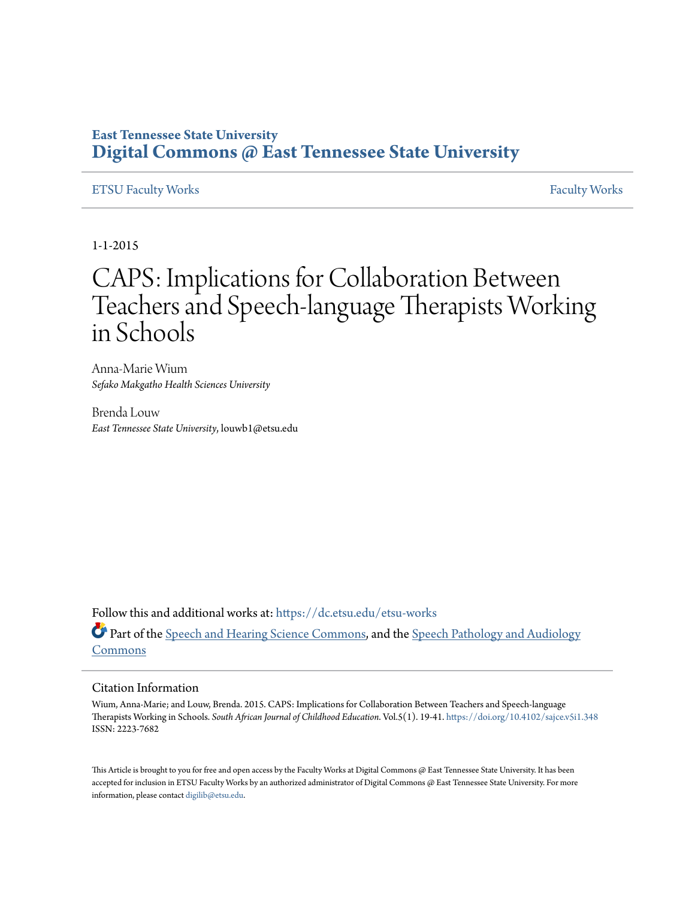# **East Tennessee State University [Digital Commons @ East Tennessee State University](https://dc.etsu.edu?utm_source=dc.etsu.edu%2Fetsu-works%2F1986&utm_medium=PDF&utm_campaign=PDFCoverPages)**

## [ETSU Faculty Works](https://dc.etsu.edu/etsu-works?utm_source=dc.etsu.edu%2Fetsu-works%2F1986&utm_medium=PDF&utm_campaign=PDFCoverPages) [Faculty Works](https://dc.etsu.edu/faculty-works?utm_source=dc.etsu.edu%2Fetsu-works%2F1986&utm_medium=PDF&utm_campaign=PDFCoverPages)

1-1-2015

# CAPS: Implications for Collaboration Between Teachers and Speech-language Therapists Working in Schools

Anna-Marie Wium *Sefako Makgatho Health Sciences University*

Brenda Louw *East Tennessee State University*, louwb1@etsu.edu

Follow this and additional works at: [https://dc.etsu.edu/etsu-works](https://dc.etsu.edu/etsu-works?utm_source=dc.etsu.edu%2Fetsu-works%2F1986&utm_medium=PDF&utm_campaign=PDFCoverPages) Part of the [Speech and Hearing Science Commons](http://network.bepress.com/hgg/discipline/1033?utm_source=dc.etsu.edu%2Fetsu-works%2F1986&utm_medium=PDF&utm_campaign=PDFCoverPages), and the [Speech Pathology and Audiology](http://network.bepress.com/hgg/discipline/1035?utm_source=dc.etsu.edu%2Fetsu-works%2F1986&utm_medium=PDF&utm_campaign=PDFCoverPages) [Commons](http://network.bepress.com/hgg/discipline/1035?utm_source=dc.etsu.edu%2Fetsu-works%2F1986&utm_medium=PDF&utm_campaign=PDFCoverPages)

#### Citation Information

Wium, Anna-Marie; and Louw, Brenda. 2015. CAPS: Implications for Collaboration Between Teachers and Speech-language Therapists Working in Schools. *South African Journal of Childhood Education*. Vol.5(1). 19-41. <https://doi.org/10.4102/sajce.v5i1.348> ISSN: 2223-7682

This Article is brought to you for free and open access by the Faculty Works at Digital Commons  $\varpi$  East Tennessee State University. It has been accepted for inclusion in ETSU Faculty Works by an authorized administrator of Digital Commons @ East Tennessee State University. For more information, please contact [digilib@etsu.edu.](mailto:digilib@etsu.edu)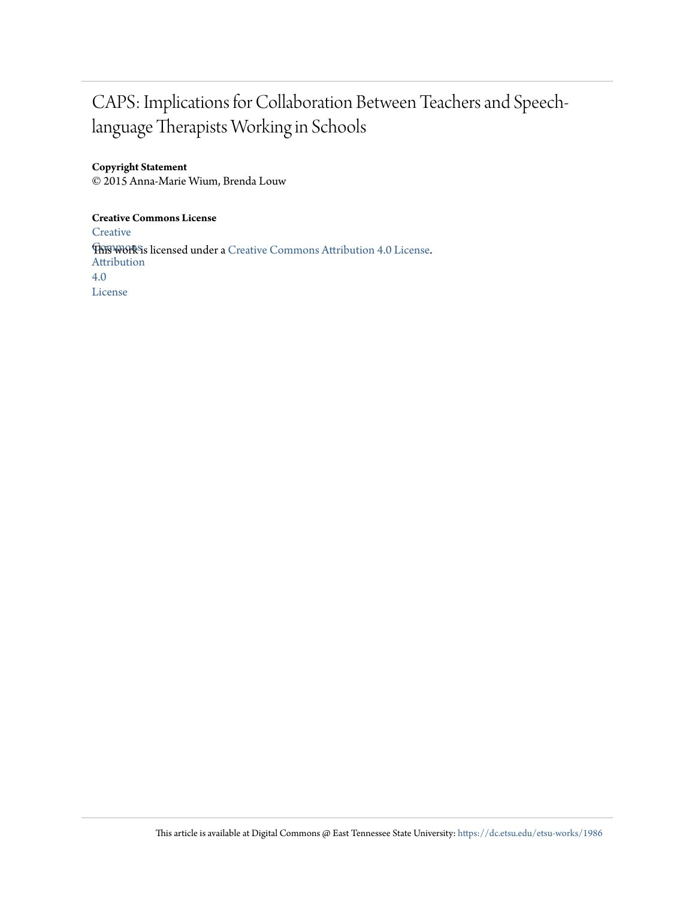# CAPS: Implications for Collaboration Between Teachers and Speechlanguage Therapists Working in Schools

**Copyright Statement**

© 2015 Anna-Marie Wium, Brenda Louw

### **Creative Commons License**

**[Creative](http://creativecommons.org/licenses/by/4.0/) This work is licensed under a** [Creative Commons Attribution 4.0 License.](http://creativecommons.org/licenses/by/4.0/) Attribution 4.0 License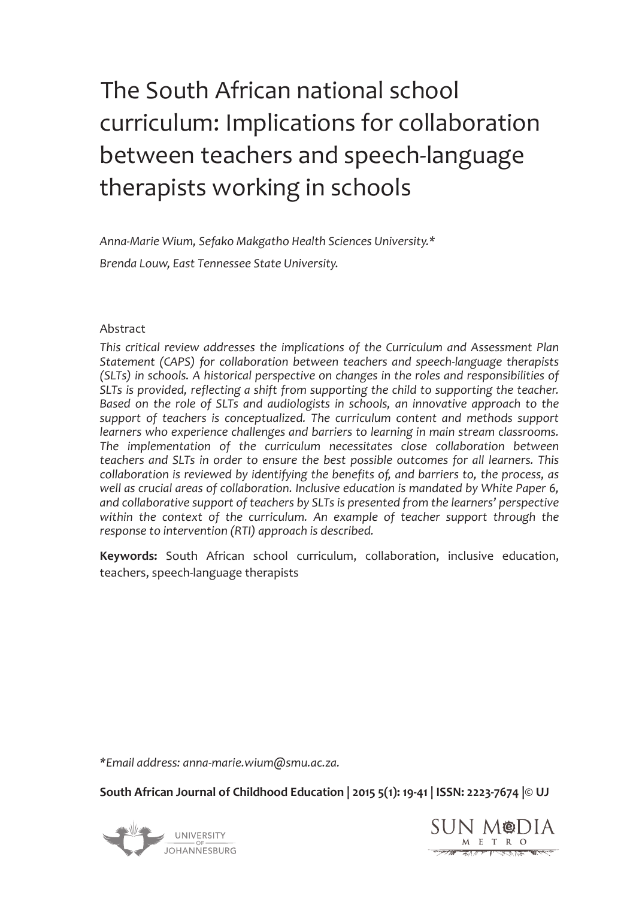# The South African national school curriculum: Implications for collaboration between teachers and speech-language therapists working in schools

*Anna-Marie Wium, Sefako Makgatho Health Sciences University.\**

*Brenda Louw, East Tennessee State University.*

#### Abstract

*This critical review addresses the implications of the Curriculum and Assessment Plan Statement (CAPS) for collaboration between teachers and speech-language therapists (SLTs) in schools. A historical perspective on changes in the roles and responsibilities of SLTs is provided, reflecting a shift from supporting the child to supporting the teacher. Based on the role of SLTs and audiologists in schools, an innovative approach to the support of teachers is conceptualized. The curriculum content and methods support learners who experience challenges and barriers to learning in main stream classrooms. The implementation of the curriculum necessitates close collaboration between teachers and SLTs in order to ensure the best possible outcomes for all learners. This collaboration is reviewed by identifying the benefits of, and barriers to, the process, as well as crucial areas of collaboration. Inclusive education is mandated by White Paper 6, and collaborative support of teachers by SLTs is presented from the learners' perspective*  within the context of the curriculum. An example of teacher support through the *response to intervention (RTI) approach is described.* 

**Keywords:** South African school curriculum, collaboration, inclusive education, teachers, speech-language therapists

*\*Email address: anna-marie.wium@smu.ac.za.*

**South African Journal of Childhood Education | 2015 5(1): 19-41 | ISSN: 2223-7674 |© UJ**



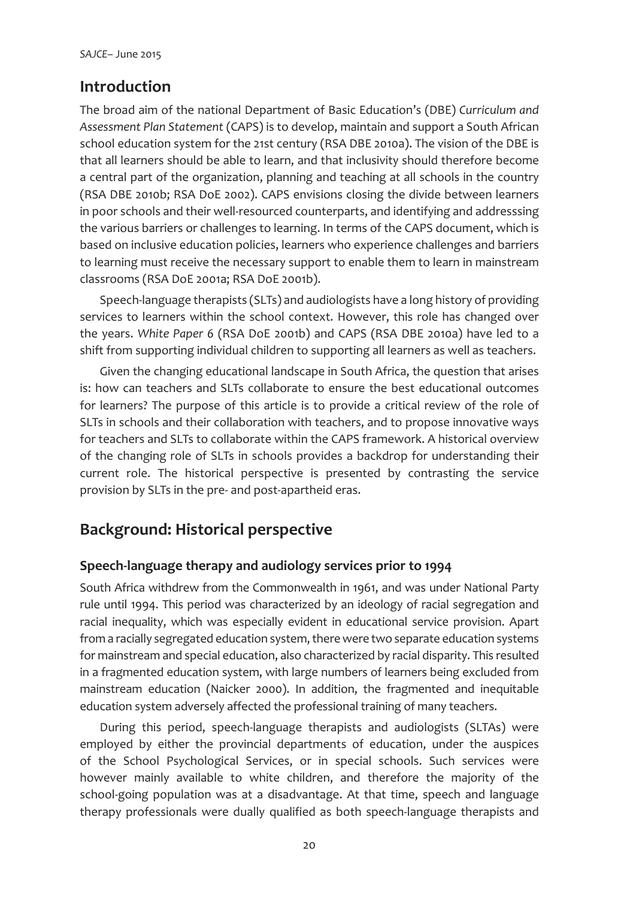## **Introduction**

The broad aim of the national Department of Basic Education's (DBE) *Curriculum and Assessment Plan Statement* (CAPS) is to develop, maintain and support a South African school education system for the 21st century (RSA DBE 2010a). The vision of the DBE is that all learners should be able to learn, and that inclusivity should therefore become a central part of the organization, planning and teaching at all schools in the country (RSA DBE 2010b; RSA DoE 2002). CAPS envisions closing the divide between learners in poor schools and their well-resourced counterparts, and identifying and addresssing the various barriers or challenges to learning. In terms of the CAPS document, which is based on inclusive education policies, learners who experience challenges and barriers to learning must receive the necessary support to enable them to learn in mainstream classrooms (RSA DoE 2001a; RSA DoE 2001b).

Speech-language therapists (SLTs) and audiologists have a long history of providing services to learners within the school context. However, this role has changed over the years. *White Paper 6* (RSA DoE 2001b) and CAPS (RSA DBE 2010a) have led to a shift from supporting individual children to supporting all learners as well as teachers.

Given the changing educational landscape in South Africa, the question that arises is: how can teachers and SLTs collaborate to ensure the best educational outcomes for learners? The purpose of this article is to provide a critical review of the role of SLTs in schools and their collaboration with teachers, and to propose innovative ways for teachers and SLTs to collaborate within the CAPS framework. A historical overview of the changing role of SLTs in schools provides a backdrop for understanding their current role. The historical perspective is presented by contrasting the service provision by SLTs in the pre- and post-apartheid eras.

# **Background: Historical perspective**

### **Speech-language therapy and audiology services prior to 1994**

South Africa withdrew from the Commonwealth in 1961, and was under National Party rule until 1994. This period was characterized by an ideology of racial segregation and racial inequality, which was especially evident in educational service provision. Apart from a racially segregated education system, there were two separate education systems for mainstream and special education, also characterized by racial disparity. This resulted in a fragmented education system, with large numbers of learners being excluded from mainstream education (Naicker 2000). In addition, the fragmented and inequitable education system adversely affected the professional training of many teachers.

During this period, speech-language therapists and audiologists (SLTAs) were employed by either the provincial departments of education, under the auspices of the School Psychological Services, or in special schools. Such services were however mainly available to white children, and therefore the majority of the school-going population was at a disadvantage. At that time, speech and language therapy professionals were dually qualified as both speech-language therapists and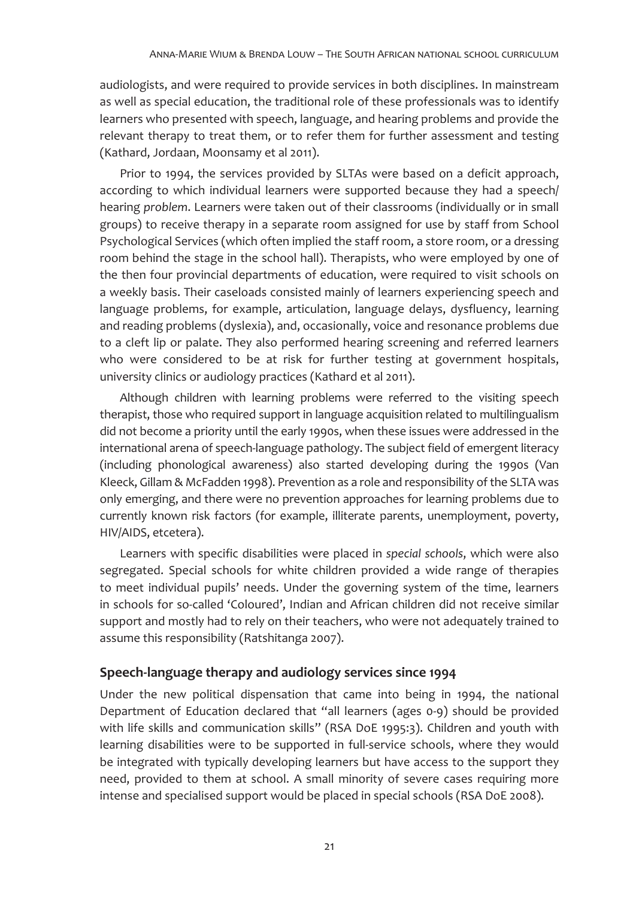audiologists, and were required to provide services in both disciplines. In mainstream as well as special education, the traditional role of these professionals was to identify learners who presented with speech, language, and hearing problems and provide the relevant therapy to treat them, or to refer them for further assessment and testing (Kathard, Jordaan, Moonsamy et al 2011).

Prior to 1994, the services provided by SLTAs were based on a deficit approach, according to which individual learners were supported because they had a speech/ hearing *problem*. Learners were taken out of their classrooms (individually or in small groups) to receive therapy in a separate room assigned for use by staff from School Psychological Services (which often implied the staff room, a store room, or a dressing room behind the stage in the school hall). Therapists, who were employed by one of the then four provincial departments of education, were required to visit schools on a weekly basis. Their caseloads consisted mainly of learners experiencing speech and language problems, for example, articulation, language delays, dysfluency, learning and reading problems (dyslexia), and, occasionally, voice and resonance problems due to a cleft lip or palate. They also performed hearing screening and referred learners who were considered to be at risk for further testing at government hospitals, university clinics or audiology practices (Kathard et al 2011).

Although children with learning problems were referred to the visiting speech therapist, those who required support in language acquisition related to multilingualism did not become a priority until the early 1990s, when these issues were addressed in the international arena of speech-language pathology. The subject field of emergent literacy (including phonological awareness) also started developing during the 1990s (Van Kleeck, Gillam & McFadden 1998). Prevention as a role and responsibility of the SLTA was only emerging, and there were no prevention approaches for learning problems due to currently known risk factors (for example, illiterate parents, unemployment, poverty, HIV/AIDS, etcetera).

Learners with specific disabilities were placed in *special schools*, which were also segregated. Special schools for white children provided a wide range of therapies to meet individual pupils' needs. Under the governing system of the time, learners in schools for so-called 'Coloured', Indian and African children did not receive similar support and mostly had to rely on their teachers, who were not adequately trained to assume this responsibility (Ratshitanga 2007).

#### **Speech-language therapy and audiology services since 1994**

Under the new political dispensation that came into being in 1994, the national Department of Education declared that "all learners (ages 0-9) should be provided with life skills and communication skills" (RSA DoE 1995:3). Children and youth with learning disabilities were to be supported in full-service schools, where they would be integrated with typically developing learners but have access to the support they need, provided to them at school. A small minority of severe cases requiring more intense and specialised support would be placed in special schools (RSA DoE 2008).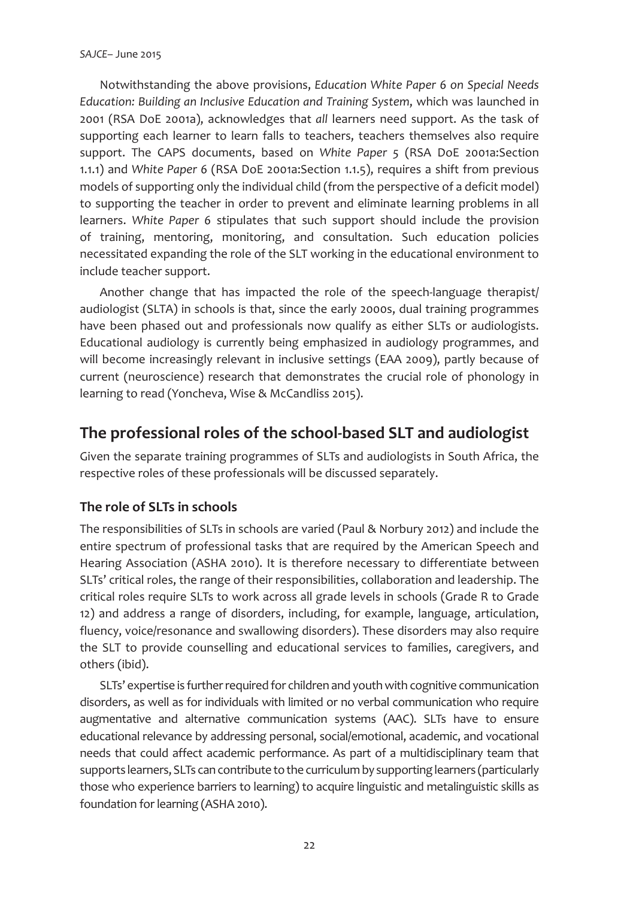Notwithstanding the above provisions, *Education White Paper 6 on Special Needs Education: Building an Inclusive Education and Training System*, which was launched in 2001 (RSA DoE 2001a), acknowledges that *all* learners need support. As the task of supporting each learner to learn falls to teachers, teachers themselves also require support. The CAPS documents, based on *White Paper 5* (RSA DoE 2001a:Section 1.1.1) and *White Paper 6* (RSA DoE 2001a:Section 1.1.5), requires a shift from previous models of supporting only the individual child (from the perspective of a deficit model) to supporting the teacher in order to prevent and eliminate learning problems in all learners. *White Paper 6* stipulates that such support should include the provision of training, mentoring, monitoring, and consultation. Such education policies necessitated expanding the role of the SLT working in the educational environment to include teacher support.

Another change that has impacted the role of the speech-language therapist/ audiologist (SLTA) in schools is that, since the early 2000s, dual training programmes have been phased out and professionals now qualify as either SLTs or audiologists. Educational audiology is currently being emphasized in audiology programmes, and will become increasingly relevant in inclusive settings (EAA 2009), partly because of current (neuroscience) research that demonstrates the crucial role of phonology in learning to read (Yoncheva, Wise & McCandliss 2015).

## **The professional roles of the school-based SLT and audiologist**

Given the separate training programmes of SLTs and audiologists in South Africa, the respective roles of these professionals will be discussed separately.

#### **The role of SLTs in schools**

The responsibilities of SLTs in schools are varied (Paul & Norbury 2012) and include the entire spectrum of professional tasks that are required by the American Speech and Hearing Association (ASHA 2010). It is therefore necessary to differentiate between SLTs' critical roles, the range of their responsibilities, collaboration and leadership. The critical roles require SLTs to work across all grade levels in schools (Grade R to Grade 12) and address a range of disorders, including, for example, language, articulation, fluency, voice/resonance and swallowing disorders). These disorders may also require the SLT to provide counselling and educational services to families, caregivers, and others (ibid).

SLTs' expertise is further required for children and youth with cognitive communication disorders, as well as for individuals with limited or no verbal communication who require augmentative and alternative communication systems (AAC). SLTs have to ensure educational relevance by addressing personal, social/emotional, academic, and vocational needs that could affect academic performance. As part of a multidisciplinary team that supports learners, SLTs can contribute to the curriculum by supporting learners (particularly those who experience barriers to learning) to acquire linguistic and metalinguistic skills as foundation for learning (ASHA 2010).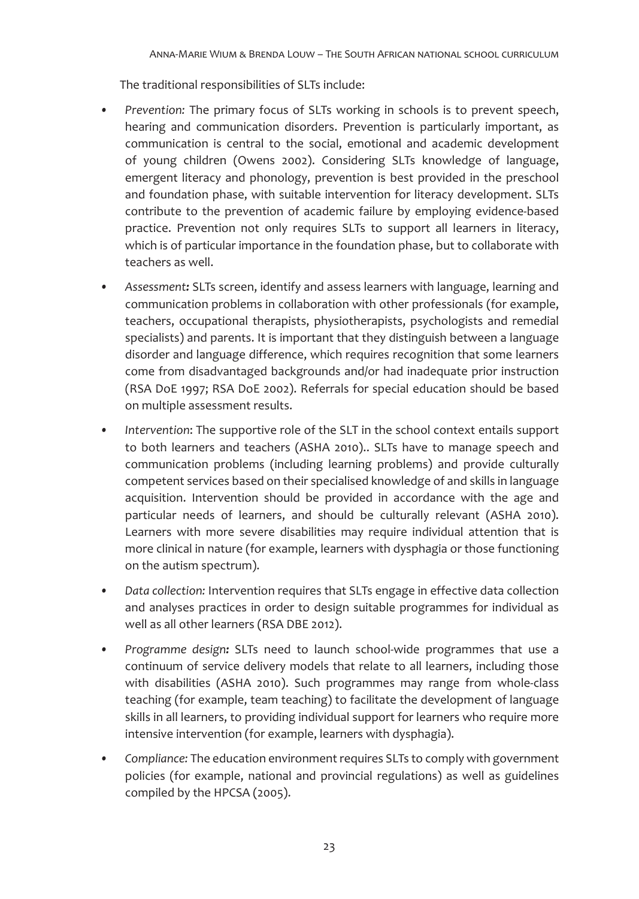The traditional responsibilities of SLTs include:

- *• Prevention:* The primary focus of SLTs working in schools is to prevent speech, hearing and communication disorders. Prevention is particularly important, as communication is central to the social, emotional and academic development of young children (Owens 2002). Considering SLTs knowledge of language, emergent literacy and phonology, prevention is best provided in the preschool and foundation phase, with suitable intervention for literacy development. SLTs contribute to the prevention of academic failure by employing evidence-based practice. Prevention not only requires SLTs to support all learners in literacy, which is of particular importance in the foundation phase, but to collaborate with teachers as well.
- *• Assessment:* SLTs screen, identify and assess learners with language, learning and communication problems in collaboration with other professionals (for example, teachers, occupational therapists, physiotherapists, psychologists and remedial specialists) and parents. It is important that they distinguish between a language disorder and language difference, which requires recognition that some learners come from disadvantaged backgrounds and/or had inadequate prior instruction (RSA DoE 1997; RSA DoE 2002). Referrals for special education should be based on multiple assessment results.
- *• Intervention*: The supportive role of the SLT in the school context entails support to both learners and teachers (ASHA 2010).. SLTs have to manage speech and communication problems (including learning problems) and provide culturally competent services based on their specialised knowledge of and skills in language acquisition. Intervention should be provided in accordance with the age and particular needs of learners, and should be culturally relevant (ASHA 2010). Learners with more severe disabilities may require individual attention that is more clinical in nature (for example, learners with dysphagia or those functioning on the autism spectrum).
- *• Data collection:* Intervention requires that SLTs engage in effective data collection and analyses practices in order to design suitable programmes for individual as well as all other learners (RSA DBE 2012).
- *• Programme design:* SLTs need to launch school-wide programmes that use a continuum of service delivery models that relate to all learners, including those with disabilities (ASHA 2010). Such programmes may range from whole-class teaching (for example, team teaching) to facilitate the development of language skills in all learners, to providing individual support for learners who require more intensive intervention (for example, learners with dysphagia).
- *• Compliance:* The education environment requires SLTs to comply with government policies (for example, national and provincial regulations) as well as guidelines compiled by the HPCSA (2005).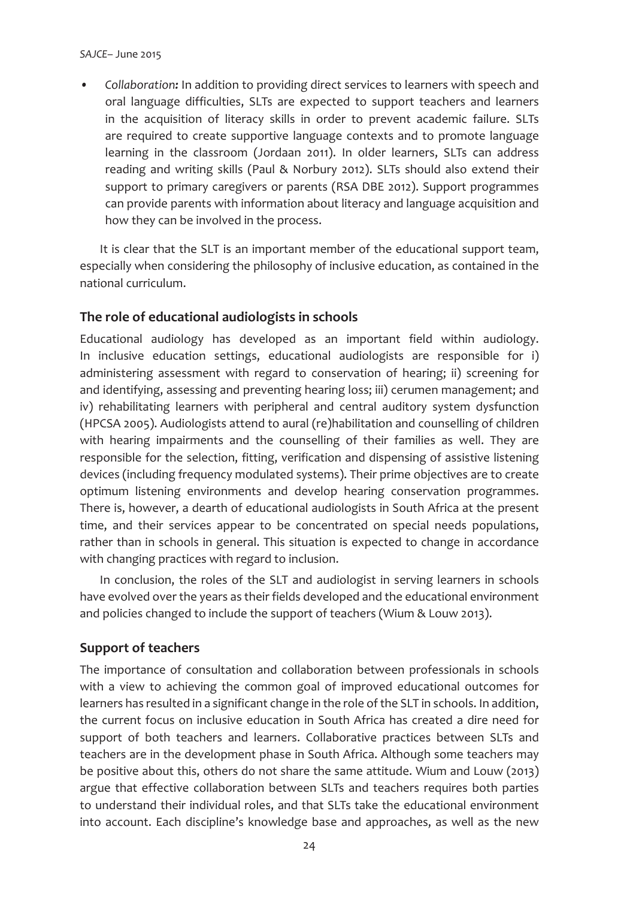#### *SAJCE*– June 2015

*• Collaboration:* In addition to providing direct services to learners with speech and oral language difficulties, SLTs are expected to support teachers and learners in the acquisition of literacy skills in order to prevent academic failure. SLTs are required to create supportive language contexts and to promote language learning in the classroom (Jordaan 2011). In older learners, SLTs can address reading and writing skills (Paul & Norbury 2012). SLTs should also extend their support to primary caregivers or parents (RSA DBE 2012). Support programmes can provide parents with information about literacy and language acquisition and how they can be involved in the process.

It is clear that the SLT is an important member of the educational support team, especially when considering the philosophy of inclusive education, as contained in the national curriculum.

#### **The role of educational audiologists in schools**

Educational audiology has developed as an important field within audiology. In inclusive education settings, educational audiologists are responsible for i) administering assessment with regard to conservation of hearing; ii) screening for and identifying, assessing and preventing hearing loss; iii) cerumen management; and iv) rehabilitating learners with peripheral and central auditory system dysfunction (HPCSA 2005). Audiologists attend to aural (re)habilitation and counselling of children with hearing impairments and the counselling of their families as well. They are responsible for the selection, fitting, verification and dispensing of assistive listening devices (including frequency modulated systems). Their prime objectives are to create optimum listening environments and develop hearing conservation programmes. There is, however, a dearth of educational audiologists in South Africa at the present time, and their services appear to be concentrated on special needs populations, rather than in schools in general. This situation is expected to change in accordance with changing practices with regard to inclusion.

In conclusion, the roles of the SLT and audiologist in serving learners in schools have evolved over the years as their fields developed and the educational environment and policies changed to include the support of teachers (Wium & Louw 2013).

#### **Support of teachers**

The importance of consultation and collaboration between professionals in schools with a view to achieving the common goal of improved educational outcomes for learners has resulted in a significant change in the role of the SLT in schools. In addition, the current focus on inclusive education in South Africa has created a dire need for support of both teachers and learners. Collaborative practices between SLTs and teachers are in the development phase in South Africa. Although some teachers may be positive about this, others do not share the same attitude. Wium and Louw (2013) argue that effective collaboration between SLTs and teachers requires both parties to understand their individual roles, and that SLTs take the educational environment into account. Each discipline's knowledge base and approaches, as well as the new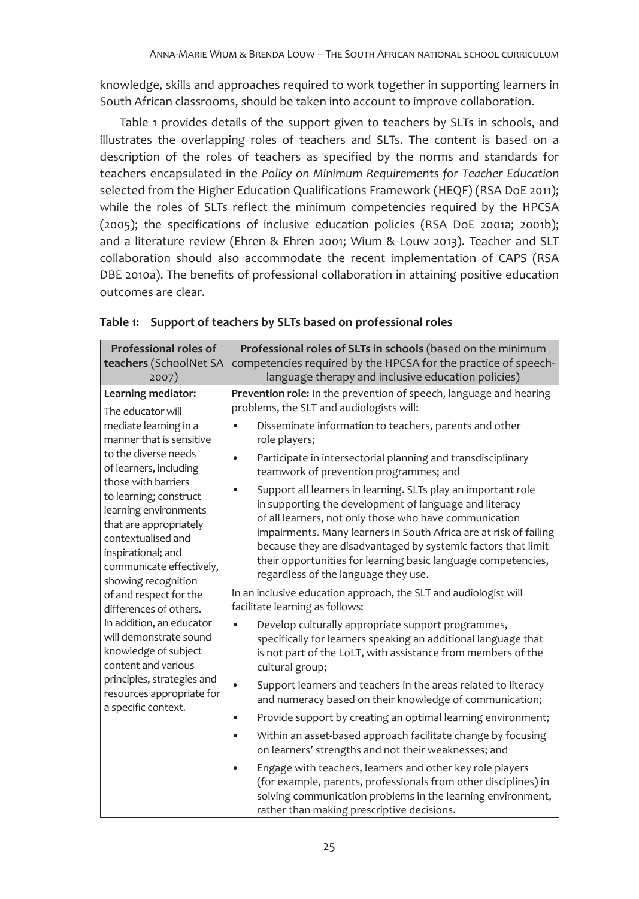knowledge, skills and approaches required to work together in supporting learners in South African classrooms, should be taken into account to improve collaboration.

Table 1 provides details of the support given to teachers by SLTs in schools, and illustrates the overlapping roles of teachers and SLTs. The content is based on a description of the roles of teachers as specified by the norms and standards for teachers encapsulated in the *Policy on Minimum Requirements for Teacher Education* selected from the Higher Education Qualifications Framework (HEQF) (RSA DoE 2011); while the roles of SLTs reflect the minimum competencies required by the HPCSA (2005); the specifications of inclusive education policies (RSA DoE 2001a; 2001b); and a literature review (Ehren & Ehren 2001; Wium & Louw 2013). Teacher and SLT collaboration should also accommodate the recent implementation of CAPS (RSA DBE 2010a). The benefits of professional collaboration in attaining positive education outcomes are clear.

| <b>Professional roles of</b><br>teachers (SchoolNet SA<br>2007)                                                                                                                                                                                                                                                                                                                                                                                                                                                                                                                              | Professional roles of SLTs in schools (based on the minimum<br>competencies required by the HPCSA for the practice of speech-<br>language therapy and inclusive education policies)                                                                                                                                                                                                                                                                                                                                                                                                                                                                                                                                                                                                                                                                                                                                                                                                                                                                                                                                                                                                                                                                                                                                                                                                                                          |  |
|----------------------------------------------------------------------------------------------------------------------------------------------------------------------------------------------------------------------------------------------------------------------------------------------------------------------------------------------------------------------------------------------------------------------------------------------------------------------------------------------------------------------------------------------------------------------------------------------|------------------------------------------------------------------------------------------------------------------------------------------------------------------------------------------------------------------------------------------------------------------------------------------------------------------------------------------------------------------------------------------------------------------------------------------------------------------------------------------------------------------------------------------------------------------------------------------------------------------------------------------------------------------------------------------------------------------------------------------------------------------------------------------------------------------------------------------------------------------------------------------------------------------------------------------------------------------------------------------------------------------------------------------------------------------------------------------------------------------------------------------------------------------------------------------------------------------------------------------------------------------------------------------------------------------------------------------------------------------------------------------------------------------------------|--|
| Learning mediator:<br>The educator will<br>mediate learning in a<br>manner that is sensitive<br>to the diverse needs<br>of learners, including<br>those with barriers<br>to learning; construct<br>learning environments<br>that are appropriately<br>contextualised and<br>inspirational; and<br>communicate effectively,<br>showing recognition<br>of and respect for the<br>differences of others.<br>In addition, an educator<br>will demonstrate sound<br>knowledge of subject<br>content and various<br>principles, strategies and<br>resources appropriate for<br>a specific context. | Prevention role: In the prevention of speech, language and hearing<br>problems, the SLT and audiologists will:<br>Disseminate information to teachers, parents and other<br>role players;<br>Participate in intersectorial planning and transdisciplinary<br>٠<br>teamwork of prevention programmes; and<br>Support all learners in learning. SLTs play an important role<br>٠<br>in supporting the development of language and literacy<br>of all learners, not only those who have communication<br>impairments. Many learners in South Africa are at risk of failing<br>because they are disadvantaged by systemic factors that limit<br>their opportunities for learning basic language competencies,<br>regardless of the language they use.<br>In an inclusive education approach, the SLT and audiologist will<br>facilitate learning as follows:<br>Develop culturally appropriate support programmes,<br>٠<br>specifically for learners speaking an additional language that<br>is not part of the LoLT, with assistance from members of the<br>cultural group;<br>Support learners and teachers in the areas related to literacy<br>٠<br>and numeracy based on their knowledge of communication;<br>Provide support by creating an optimal learning environment;<br>$\bullet$<br>Within an asset-based approach facilitate change by focusing<br>$\bullet$<br>on learners' strengths and not their weaknesses; and |  |
|                                                                                                                                                                                                                                                                                                                                                                                                                                                                                                                                                                                              | Engage with teachers, learners and other key role players<br>٠<br>(for example, parents, professionals from other disciplines) in<br>solving communication problems in the learning environment,<br>rather than making prescriptive decisions.                                                                                                                                                                                                                                                                                                                                                                                                                                                                                                                                                                                                                                                                                                                                                                                                                                                                                                                                                                                                                                                                                                                                                                               |  |

#### **Table 1: Support of teachers by SLTs based on professional roles**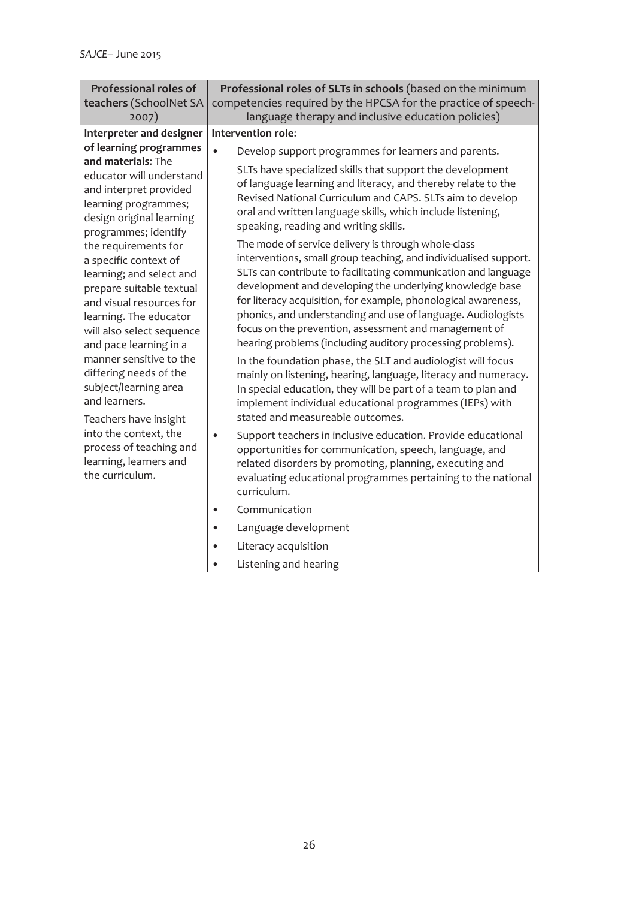| <b>Professional roles of</b><br>teachers (SchoolNet SA<br>2007)                                                                                                                                                                                                                                                                           | Professional roles of SLTs in schools (based on the minimum<br>competencies required by the HPCSA for the practice of speech-<br>language therapy and inclusive education policies)                                                                                                                                                                                                                                                                                                                                                                                                                                                                                                                                                                                         |  |
|-------------------------------------------------------------------------------------------------------------------------------------------------------------------------------------------------------------------------------------------------------------------------------------------------------------------------------------------|-----------------------------------------------------------------------------------------------------------------------------------------------------------------------------------------------------------------------------------------------------------------------------------------------------------------------------------------------------------------------------------------------------------------------------------------------------------------------------------------------------------------------------------------------------------------------------------------------------------------------------------------------------------------------------------------------------------------------------------------------------------------------------|--|
| Interpreter and designer                                                                                                                                                                                                                                                                                                                  | Intervention role:                                                                                                                                                                                                                                                                                                                                                                                                                                                                                                                                                                                                                                                                                                                                                          |  |
| of learning programmes<br>and materials: The<br>educator will understand<br>and interpret provided<br>learning programmes;<br>design original learning                                                                                                                                                                                    | Develop support programmes for learners and parents.<br>$\bullet$<br>SLTs have specialized skills that support the development<br>of language learning and literacy, and thereby relate to the<br>Revised National Curriculum and CAPS. SLTs aim to develop<br>oral and written language skills, which include listening,<br>speaking, reading and writing skills.                                                                                                                                                                                                                                                                                                                                                                                                          |  |
| programmes; identify<br>the requirements for<br>a specific context of<br>learning; and select and<br>prepare suitable textual<br>and visual resources for<br>learning. The educator<br>will also select sequence<br>and pace learning in a<br>manner sensitive to the<br>differing needs of the<br>subject/learning area<br>and learners. | The mode of service delivery is through whole-class<br>interventions, small group teaching, and individualised support.<br>SLTs can contribute to facilitating communication and language<br>development and developing the underlying knowledge base<br>for literacy acquisition, for example, phonological awareness,<br>phonics, and understanding and use of language. Audiologists<br>focus on the prevention, assessment and management of<br>hearing problems (including auditory processing problems).<br>In the foundation phase, the SLT and audiologist will focus<br>mainly on listening, hearing, language, literacy and numeracy.<br>In special education, they will be part of a team to plan and<br>implement individual educational programmes (IEPs) with |  |
| Teachers have insight<br>into the context, the<br>process of teaching and<br>learning, learners and<br>the curriculum.                                                                                                                                                                                                                    | stated and measureable outcomes.<br>Support teachers in inclusive education. Provide educational<br>opportunities for communication, speech, language, and<br>related disorders by promoting, planning, executing and<br>evaluating educational programmes pertaining to the national<br>curriculum.                                                                                                                                                                                                                                                                                                                                                                                                                                                                        |  |
|                                                                                                                                                                                                                                                                                                                                           | Communication<br>$\bullet$                                                                                                                                                                                                                                                                                                                                                                                                                                                                                                                                                                                                                                                                                                                                                  |  |
|                                                                                                                                                                                                                                                                                                                                           | Language development<br>$\bullet$                                                                                                                                                                                                                                                                                                                                                                                                                                                                                                                                                                                                                                                                                                                                           |  |
|                                                                                                                                                                                                                                                                                                                                           | Literacy acquisition                                                                                                                                                                                                                                                                                                                                                                                                                                                                                                                                                                                                                                                                                                                                                        |  |
|                                                                                                                                                                                                                                                                                                                                           | Listening and hearing                                                                                                                                                                                                                                                                                                                                                                                                                                                                                                                                                                                                                                                                                                                                                       |  |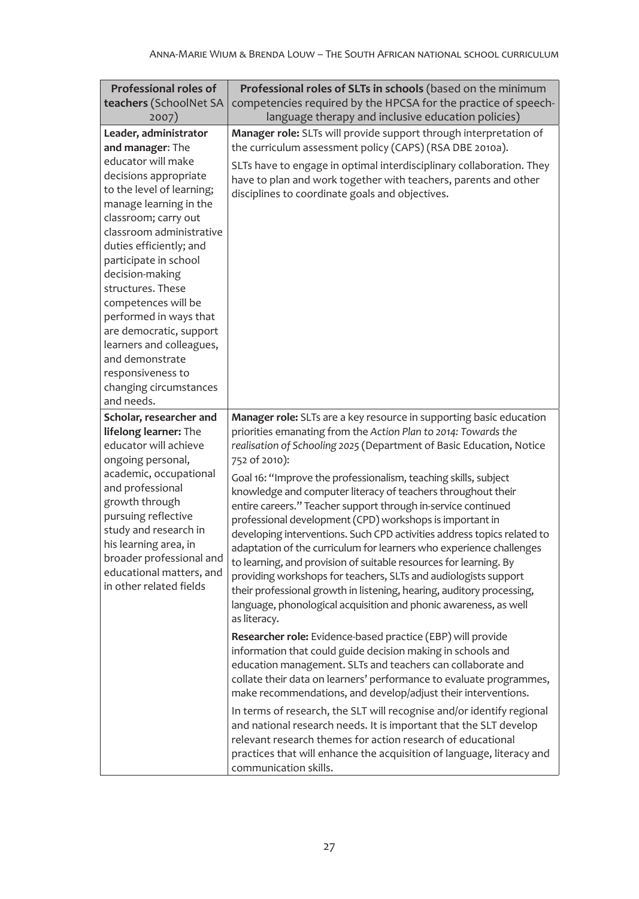| <b>Professional roles of</b><br>teachers (SchoolNet SA<br>2007)                                                                                                                                                                                                                                                                                                                                                                            | Professional roles of SLTs in schools (based on the minimum<br>competencies required by the HPCSA for the practice of speech-<br>language therapy and inclusive education policies)                                                                                                                                                                                                                                                                                                                                                                                                                                                                                                                                                                                                                                                                                                                                                                   |  |
|--------------------------------------------------------------------------------------------------------------------------------------------------------------------------------------------------------------------------------------------------------------------------------------------------------------------------------------------------------------------------------------------------------------------------------------------|-------------------------------------------------------------------------------------------------------------------------------------------------------------------------------------------------------------------------------------------------------------------------------------------------------------------------------------------------------------------------------------------------------------------------------------------------------------------------------------------------------------------------------------------------------------------------------------------------------------------------------------------------------------------------------------------------------------------------------------------------------------------------------------------------------------------------------------------------------------------------------------------------------------------------------------------------------|--|
| Leader, administrator<br>and manager: The                                                                                                                                                                                                                                                                                                                                                                                                  | Manager role: SLTs will provide support through interpretation of<br>the curriculum assessment policy (CAPS) (RSA DBE 2010a).                                                                                                                                                                                                                                                                                                                                                                                                                                                                                                                                                                                                                                                                                                                                                                                                                         |  |
| educator will make<br>decisions appropriate<br>to the level of learning;<br>manage learning in the<br>classroom; carry out<br>classroom administrative<br>duties efficiently; and<br>participate in school<br>decision-making<br>structures. These<br>competences will be<br>performed in ways that<br>are democratic, support<br>learners and colleagues,<br>and demonstrate<br>responsiveness to<br>changing circumstances<br>and needs. | SLTs have to engage in optimal interdisciplinary collaboration. They<br>have to plan and work together with teachers, parents and other<br>disciplines to coordinate goals and objectives.                                                                                                                                                                                                                                                                                                                                                                                                                                                                                                                                                                                                                                                                                                                                                            |  |
| Scholar, researcher and<br>lifelong learner: The<br>educator will achieve<br>ongoing personal,<br>academic, occupational<br>and professional<br>growth through<br>pursuing reflective<br>study and research in<br>his learning area, in<br>broader professional and<br>educational matters, and<br>in other related fields                                                                                                                 | Manager role: SLTs are a key resource in supporting basic education<br>priorities emanating from the Action Plan to 2014: Towards the<br>realisation of Schooling 2025 (Department of Basic Education, Notice<br>752 of 2010):<br>Goal 16: "Improve the professionalism, teaching skills, subject<br>knowledge and computer literacy of teachers throughout their<br>entire careers." Teacher support through in-service continued<br>professional development (CPD) workshops is important in<br>developing interventions. Such CPD activities address topics related to<br>adaptation of the curriculum for learners who experience challenges<br>to learning, and provision of suitable resources for learning. By<br>providing workshops for teachers, SLTs and audiologists support<br>their professional growth in listening, hearing, auditory processing,<br>language, phonological acquisition and phonic awareness, as well<br>as literacy. |  |
|                                                                                                                                                                                                                                                                                                                                                                                                                                            | <b>Researcher role:</b> Evidence-based practice (EBP) will provide<br>information that could guide decision making in schools and<br>education management. SLTs and teachers can collaborate and<br>collate their data on learners' performance to evaluate programmes,<br>make recommendations, and develop/adjust their interventions.<br>In terms of research, the SLT will recognise and/or identify regional<br>and national research needs. It is important that the SLT develop                                                                                                                                                                                                                                                                                                                                                                                                                                                                |  |
|                                                                                                                                                                                                                                                                                                                                                                                                                                            | relevant research themes for action research of educational<br>practices that will enhance the acquisition of language, literacy and<br>communication skills.                                                                                                                                                                                                                                                                                                                                                                                                                                                                                                                                                                                                                                                                                                                                                                                         |  |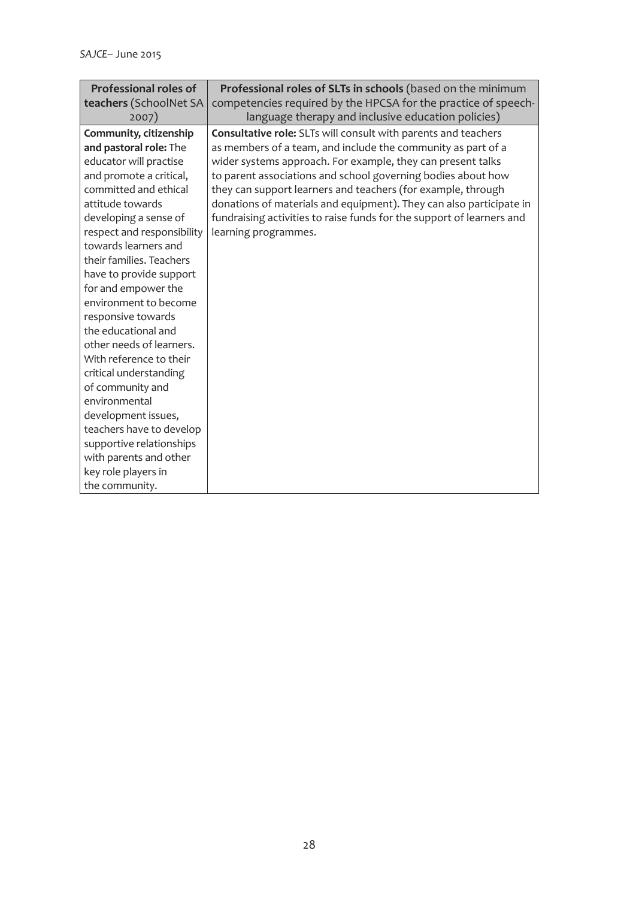| <b>Professional roles of</b> | Professional roles of SLTs in schools (based on the minimum           |
|------------------------------|-----------------------------------------------------------------------|
| teachers (SchoolNet SA       | competencies required by the HPCSA for the practice of speech-        |
| 2007)                        | language therapy and inclusive education policies)                    |
| Community, citizenship       | <b>Consultative role:</b> SLTs will consult with parents and teachers |
| and pastoral role: The       | as members of a team, and include the community as part of a          |
| educator will practise       | wider systems approach. For example, they can present talks           |
| and promote a critical,      | to parent associations and school governing bodies about how          |
| committed and ethical        | they can support learners and teachers (for example, through          |
| attitude towards             | donations of materials and equipment). They can also participate in   |
| developing a sense of        | fundraising activities to raise funds for the support of learners and |
| respect and responsibility   | learning programmes.                                                  |
| towards learners and         |                                                                       |
| their families. Teachers     |                                                                       |
| have to provide support      |                                                                       |
| for and empower the          |                                                                       |
| environment to become        |                                                                       |
| responsive towards           |                                                                       |
| the educational and          |                                                                       |
| other needs of learners.     |                                                                       |
| With reference to their      |                                                                       |
| critical understanding       |                                                                       |
| of community and             |                                                                       |
| environmental                |                                                                       |
| development issues,          |                                                                       |
| teachers have to develop     |                                                                       |
| supportive relationships     |                                                                       |
| with parents and other       |                                                                       |
| key role players in          |                                                                       |
| the community.               |                                                                       |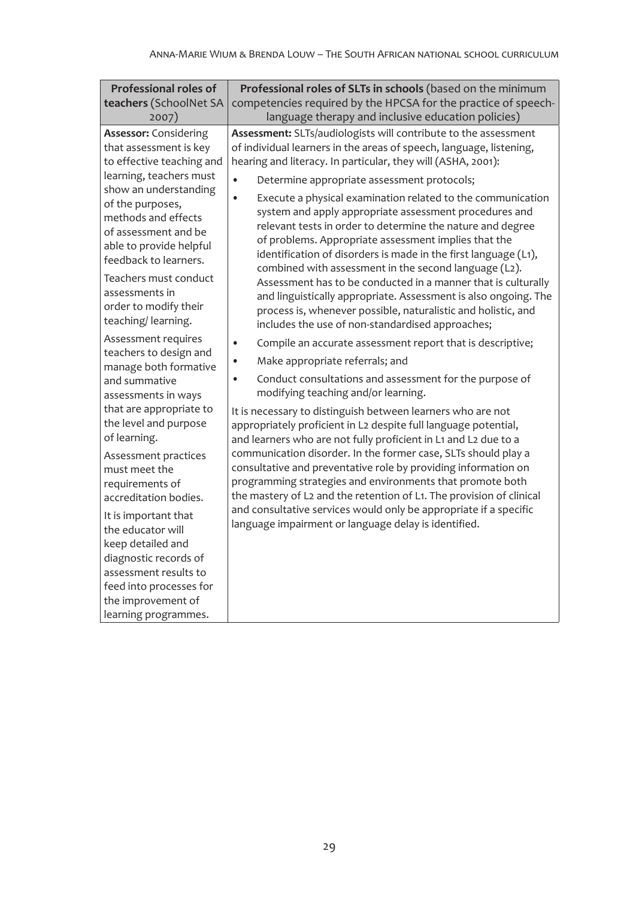| <b>Professional roles of</b>                                                                                                                                                                                                                                                                                                                                                                                           | Professional roles of SLTs in schools (based on the minimum                                                                                                                                                                                                                                                                                                                                                                                                                                                                                                                                                                                                                                                                                                                                                                                                                           |  |
|------------------------------------------------------------------------------------------------------------------------------------------------------------------------------------------------------------------------------------------------------------------------------------------------------------------------------------------------------------------------------------------------------------------------|---------------------------------------------------------------------------------------------------------------------------------------------------------------------------------------------------------------------------------------------------------------------------------------------------------------------------------------------------------------------------------------------------------------------------------------------------------------------------------------------------------------------------------------------------------------------------------------------------------------------------------------------------------------------------------------------------------------------------------------------------------------------------------------------------------------------------------------------------------------------------------------|--|
| teachers (SchoolNet SA                                                                                                                                                                                                                                                                                                                                                                                                 | competencies required by the HPCSA for the practice of speech-                                                                                                                                                                                                                                                                                                                                                                                                                                                                                                                                                                                                                                                                                                                                                                                                                        |  |
| 2007)                                                                                                                                                                                                                                                                                                                                                                                                                  | language therapy and inclusive education policies)                                                                                                                                                                                                                                                                                                                                                                                                                                                                                                                                                                                                                                                                                                                                                                                                                                    |  |
| <b>Assessor:</b> Considering                                                                                                                                                                                                                                                                                                                                                                                           | Assessment: SLTs/audiologists will contribute to the assessment                                                                                                                                                                                                                                                                                                                                                                                                                                                                                                                                                                                                                                                                                                                                                                                                                       |  |
| that assessment is key                                                                                                                                                                                                                                                                                                                                                                                                 | of individual learners in the areas of speech, language, listening,                                                                                                                                                                                                                                                                                                                                                                                                                                                                                                                                                                                                                                                                                                                                                                                                                   |  |
| to effective teaching and                                                                                                                                                                                                                                                                                                                                                                                              | hearing and literacy. In particular, they will (ASHA, 2001):                                                                                                                                                                                                                                                                                                                                                                                                                                                                                                                                                                                                                                                                                                                                                                                                                          |  |
| learning, teachers must                                                                                                                                                                                                                                                                                                                                                                                                | Determine appropriate assessment protocols;                                                                                                                                                                                                                                                                                                                                                                                                                                                                                                                                                                                                                                                                                                                                                                                                                                           |  |
| show an understanding                                                                                                                                                                                                                                                                                                                                                                                                  | Execute a physical examination related to the communication                                                                                                                                                                                                                                                                                                                                                                                                                                                                                                                                                                                                                                                                                                                                                                                                                           |  |
| of the purposes,                                                                                                                                                                                                                                                                                                                                                                                                       | $\bullet$                                                                                                                                                                                                                                                                                                                                                                                                                                                                                                                                                                                                                                                                                                                                                                                                                                                                             |  |
| methods and effects                                                                                                                                                                                                                                                                                                                                                                                                    | system and apply appropriate assessment procedures and                                                                                                                                                                                                                                                                                                                                                                                                                                                                                                                                                                                                                                                                                                                                                                                                                                |  |
| of assessment and be                                                                                                                                                                                                                                                                                                                                                                                                   | relevant tests in order to determine the nature and degree                                                                                                                                                                                                                                                                                                                                                                                                                                                                                                                                                                                                                                                                                                                                                                                                                            |  |
| able to provide helpful                                                                                                                                                                                                                                                                                                                                                                                                | of problems. Appropriate assessment implies that the                                                                                                                                                                                                                                                                                                                                                                                                                                                                                                                                                                                                                                                                                                                                                                                                                                  |  |
| feedback to learners.                                                                                                                                                                                                                                                                                                                                                                                                  | identification of disorders is made in the first language (L1),                                                                                                                                                                                                                                                                                                                                                                                                                                                                                                                                                                                                                                                                                                                                                                                                                       |  |
| Teachers must conduct                                                                                                                                                                                                                                                                                                                                                                                                  | combined with assessment in the second language (L2).                                                                                                                                                                                                                                                                                                                                                                                                                                                                                                                                                                                                                                                                                                                                                                                                                                 |  |
| assessments in                                                                                                                                                                                                                                                                                                                                                                                                         | Assessment has to be conducted in a manner that is culturally                                                                                                                                                                                                                                                                                                                                                                                                                                                                                                                                                                                                                                                                                                                                                                                                                         |  |
| order to modify their                                                                                                                                                                                                                                                                                                                                                                                                  | and linguistically appropriate. Assessment is also ongoing. The                                                                                                                                                                                                                                                                                                                                                                                                                                                                                                                                                                                                                                                                                                                                                                                                                       |  |
| teaching/learning.                                                                                                                                                                                                                                                                                                                                                                                                     | process is, whenever possible, naturalistic and holistic, and                                                                                                                                                                                                                                                                                                                                                                                                                                                                                                                                                                                                                                                                                                                                                                                                                         |  |
| Assessment requires<br>teachers to design and<br>manage both formative<br>and summative<br>assessments in ways<br>that are appropriate to<br>the level and purpose<br>of learning.<br>Assessment practices<br>must meet the<br>requirements of<br>accreditation bodies.<br>It is important that<br>the educator will<br>keep detailed and<br>diagnostic records of<br>assessment results to<br>feed into processes for | includes the use of non-standardised approaches;<br>Compile an accurate assessment report that is descriptive;<br>٠<br>Make appropriate referrals; and<br>٠<br>Conduct consultations and assessment for the purpose of<br>$\bullet$<br>modifying teaching and/or learning.<br>It is necessary to distinguish between learners who are not<br>appropriately proficient in L2 despite full language potential,<br>and learners who are not fully proficient in L1 and L2 due to a<br>communication disorder. In the former case, SLTs should play a<br>consultative and preventative role by providing information on<br>programming strategies and environments that promote both<br>the mastery of L2 and the retention of L1. The provision of clinical<br>and consultative services would only be appropriate if a specific<br>language impairment or language delay is identified. |  |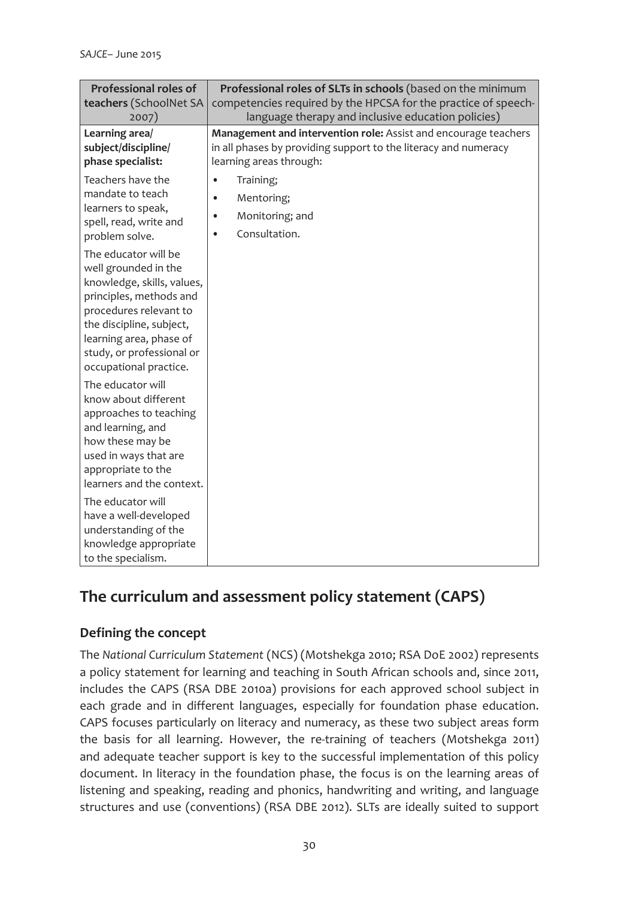| <b>Professional roles of</b><br>teachers (SchoolNet SA<br>2007)                                                                                                                                                                               | Professional roles of SLTs in schools (based on the minimum<br>competencies required by the HPCSA for the practice of speech-<br>language therapy and inclusive education policies) |  |
|-----------------------------------------------------------------------------------------------------------------------------------------------------------------------------------------------------------------------------------------------|-------------------------------------------------------------------------------------------------------------------------------------------------------------------------------------|--|
| Learning area/<br>subject/discipline/<br>phase specialist:                                                                                                                                                                                    | Management and intervention role: Assist and encourage teachers<br>in all phases by providing support to the literacy and numeracy<br>learning areas through:                       |  |
| Teachers have the<br>mandate to teach<br>learners to speak,<br>spell, read, write and<br>problem solve.                                                                                                                                       | Training:<br>٠<br>Mentoring;<br>$\bullet$<br>Monitoring; and<br>$\bullet$<br>Consultation.<br>٠                                                                                     |  |
| The educator will be<br>well grounded in the<br>knowledge, skills, values,<br>principles, methods and<br>procedures relevant to<br>the discipline, subject,<br>learning area, phase of<br>study, or professional or<br>occupational practice. |                                                                                                                                                                                     |  |
| The educator will<br>know about different<br>approaches to teaching<br>and learning, and<br>how these may be<br>used in ways that are<br>appropriate to the<br>learners and the context.<br>The educator will                                 |                                                                                                                                                                                     |  |
| have a well-developed<br>understanding of the<br>knowledge appropriate<br>to the specialism.                                                                                                                                                  |                                                                                                                                                                                     |  |

# **The curriculum and assessment policy statement (CAPS)**

### **Defining the concept**

The *National Curriculum Statement* (NCS) (Motshekga 2010; RSA DoE 2002) represents a policy statement for learning and teaching in South African schools and, since 2011, includes the CAPS (RSA DBE 2010a) provisions for each approved school subject in each grade and in different languages, especially for foundation phase education. CAPS focuses particularly on literacy and numeracy, as these two subject areas form the basis for all learning. However, the re-training of teachers (Motshekga 2011) and adequate teacher support is key to the successful implementation of this policy document. In literacy in the foundation phase, the focus is on the learning areas of listening and speaking, reading and phonics, handwriting and writing, and language structures and use (conventions) (RSA DBE 2012). SLTs are ideally suited to support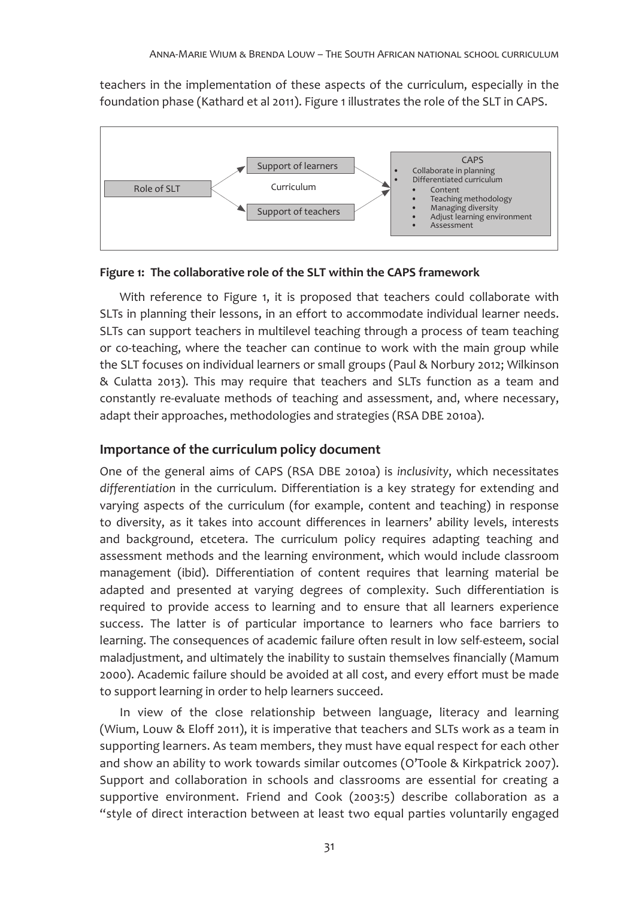teachers in the implementation of these aspects of the curriculum, especially in the foundation phase (Kathard et al 2011). Figure 1 illustrates the role of the SLT in CAPS.



#### **Figure 1: The collaborative role of the SLT within the CAPS framework**

With reference to Figure 1, it is proposed that teachers could collaborate with SLTs in planning their lessons, in an effort to accommodate individual learner needs. SLTs can support teachers in multilevel teaching through a process of team teaching or co-teaching, where the teacher can continue to work with the main group while the SLT focuses on individual learners or small groups (Paul & Norbury 2012; Wilkinson & Culatta 2013). This may require that teachers and SLTs function as a team and constantly re-evaluate methods of teaching and assessment, and, where necessary, adapt their approaches, methodologies and strategies (RSA DBE 2010a).

#### **Importance of the curriculum policy document**

One of the general aims of CAPS (RSA DBE 2010a) is *inclusivity*, which necessitates *differentiation* in the curriculum. Differentiation is a key strategy for extending and varying aspects of the curriculum (for example, content and teaching) in response to diversity, as it takes into account differences in learners' ability levels, interests and background, etcetera. The curriculum policy requires adapting teaching and assessment methods and the learning environment, which would include classroom management (ibid). Differentiation of content requires that learning material be adapted and presented at varying degrees of complexity. Such differentiation is required to provide access to learning and to ensure that all learners experience success. The latter is of particular importance to learners who face barriers to learning. The consequences of academic failure often result in low self-esteem, social maladjustment, and ultimately the inability to sustain themselves financially (Mamum 2000). Academic failure should be avoided at all cost, and every effort must be made to support learning in order to help learners succeed.

In view of the close relationship between language, literacy and learning (Wium, Louw & Eloff 2011), it is imperative that teachers and SLTs work as a team in supporting learners. As team members, they must have equal respect for each other and show an ability to work towards similar outcomes (O'Toole & Kirkpatrick 2007). Support and collaboration in schools and classrooms are essential for creating a supportive environment. Friend and Cook (2003:5) describe collaboration as a "style of direct interaction between at least two equal parties voluntarily engaged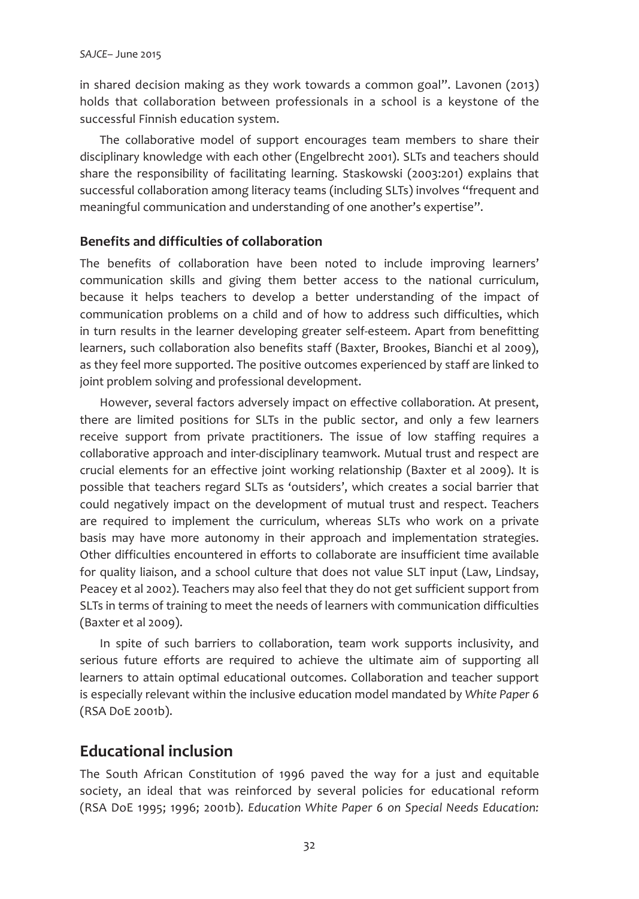in shared decision making as they work towards a common goal". Lavonen (2013) holds that collaboration between professionals in a school is a keystone of the successful Finnish education system.

The collaborative model of support encourages team members to share their disciplinary knowledge with each other (Engelbrecht 2001). SLTs and teachers should share the responsibility of facilitating learning. Staskowski (2003:201) explains that successful collaboration among literacy teams (including SLTs) involves "frequent and meaningful communication and understanding of one another's expertise".

#### **Benefits and difficulties of collaboration**

The benefits of collaboration have been noted to include improving learners' communication skills and giving them better access to the national curriculum, because it helps teachers to develop a better understanding of the impact of communication problems on a child and of how to address such difficulties, which in turn results in the learner developing greater self-esteem. Apart from benefitting learners, such collaboration also benefits staff (Baxter, Brookes, Bianchi et al 2009), as they feel more supported. The positive outcomes experienced by staff are linked to joint problem solving and professional development.

However, several factors adversely impact on effective collaboration. At present, there are limited positions for SLTs in the public sector, and only a few learners receive support from private practitioners. The issue of low staffing requires a collaborative approach and inter-disciplinary teamwork. Mutual trust and respect are crucial elements for an effective joint working relationship (Baxter et al 2009). It is possible that teachers regard SLTs as 'outsiders', which creates a social barrier that could negatively impact on the development of mutual trust and respect. Teachers are required to implement the curriculum, whereas SLTs who work on a private basis may have more autonomy in their approach and implementation strategies. Other difficulties encountered in efforts to collaborate are insufficient time available for quality liaison, and a school culture that does not value SLT input (Law, Lindsay, Peacey et al 2002). Teachers may also feel that they do not get sufficient support from SLTs in terms of training to meet the needs of learners with communication difficulties (Baxter et al 2009).

In spite of such barriers to collaboration, team work supports inclusivity, and serious future efforts are required to achieve the ultimate aim of supporting all learners to attain optimal educational outcomes. Collaboration and teacher support is especially relevant within the inclusive education model mandated by *White Paper 6* (RSA DoE 2001b).

## **Educational inclusion**

The South African Constitution of 1996 paved the way for a just and equitable society, an ideal that was reinforced by several policies for educational reform (RSA DoE 1995; 1996; 2001b). *Education White Paper 6 on Special Needs Education:*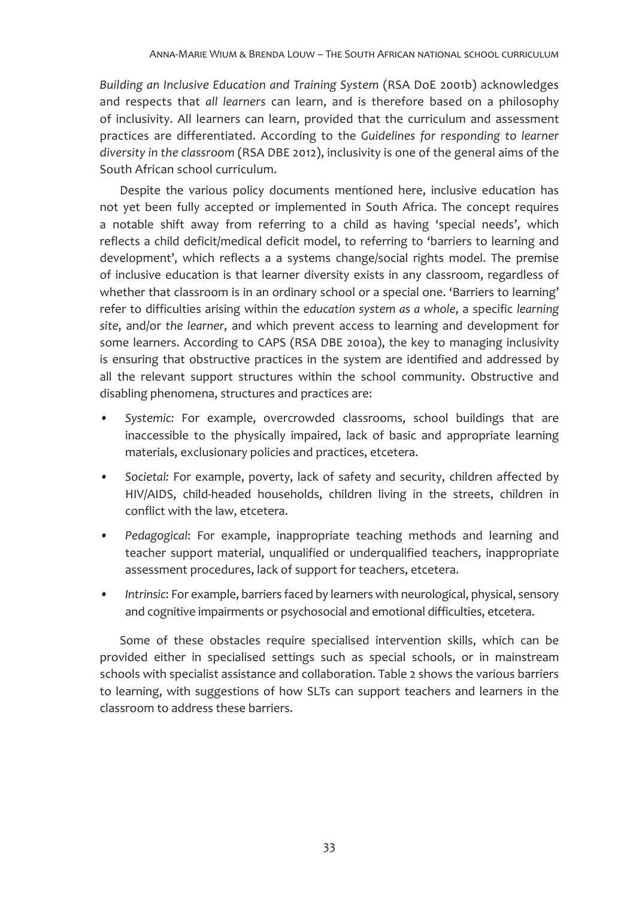*Building an Inclusive Education and Training System* (RSA DoE 2001b) acknowledges and respects that *all learners* can learn, and is therefore based on a philosophy of inclusivity. All learners can learn, provided that the curriculum and assessment practices are differentiated. According to the *Guidelines for responding to learner diversity in the classroom* (RSA DBE 2012), inclusivity is one of the general aims of the South African school curriculum.

Despite the various policy documents mentioned here, inclusive education has not yet been fully accepted or implemented in South Africa. The concept requires a notable shift away from referring to a child as having 'special needs', which reflects a child deficit/medical deficit model, to referring to 'barriers to learning and development', which reflects a a systems change/social rights model. The premise of inclusive education is that learner diversity exists in any classroom, regardless of whether that classroom is in an ordinary school or a special one. 'Barriers to learning' refer to difficulties arising within the *education system as a whole*, a specific *learning site*, and/or *the learner*, and which prevent access to learning and development for some learners. According to CAPS (RSA DBE 2010a), the key to managing inclusivity is ensuring that obstructive practices in the system are identified and addressed by all the relevant support structures within the school community. Obstructive and disabling phenomena, structures and practices are:

- *• Systemic:* For example, overcrowded classrooms, school buildings that are inaccessible to the physically impaired, lack of basic and appropriate learning materials, exclusionary policies and practices, etcetera.
- *• Societal:* For example, poverty, lack of safety and security, children affected by HIV/AIDS, child-headed households, children living in the streets, children in conflict with the law, etcetera.
- *• Pedagogical*: For example, inappropriate teaching methods and learning and teacher support material, unqualified or underqualified teachers, inappropriate assessment procedures, lack of support for teachers, etcetera.
- *• Intrinsic*: For example, barriers faced by learners with neurological, physical, sensory and cognitive impairments or psychosocial and emotional difficulties, etcetera.

Some of these obstacles require specialised intervention skills, which can be provided either in specialised settings such as special schools, or in mainstream schools with specialist assistance and collaboration. Table 2 shows the various barriers to learning, with suggestions of how SLTs can support teachers and learners in the classroom to address these barriers.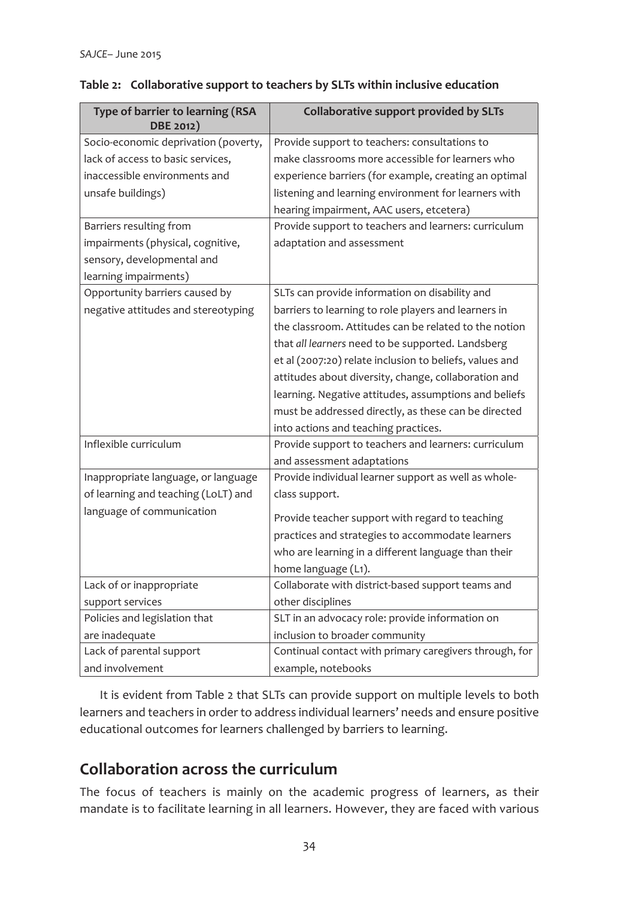| Type of barrier to learning (RSA<br>DBE 2012) | Collaborative support provided by SLTs                  |
|-----------------------------------------------|---------------------------------------------------------|
| Socio-economic deprivation (poverty,          | Provide support to teachers: consultations to           |
| lack of access to basic services,             | make classrooms more accessible for learners who        |
| inaccessible environments and                 | experience barriers (for example, creating an optimal   |
| unsafe buildings)                             | listening and learning environment for learners with    |
|                                               | hearing impairment, AAC users, etcetera)                |
| Barriers resulting from                       | Provide support to teachers and learners: curriculum    |
| impairments (physical, cognitive,             | adaptation and assessment                               |
| sensory, developmental and                    |                                                         |
| learning impairments)                         |                                                         |
| Opportunity barriers caused by                | SLTs can provide information on disability and          |
| negative attitudes and stereotyping           | barriers to learning to role players and learners in    |
|                                               | the classroom. Attitudes can be related to the notion   |
|                                               | that all learners need to be supported. Landsberg       |
|                                               | et al (2007:20) relate inclusion to beliefs, values and |
|                                               | attitudes about diversity, change, collaboration and    |
|                                               | learning. Negative attitudes, assumptions and beliefs   |
|                                               | must be addressed directly, as these can be directed    |
|                                               | into actions and teaching practices.                    |
| Inflexible curriculum                         | Provide support to teachers and learners: curriculum    |
|                                               | and assessment adaptations                              |
| Inappropriate language, or language           | Provide individual learner support as well as whole-    |
| of learning and teaching (LoLT) and           | class support.                                          |
| language of communication                     | Provide teacher support with regard to teaching         |
|                                               | practices and strategies to accommodate learners        |
|                                               | who are learning in a different language than their     |
|                                               | home language (L1).                                     |
| Lack of or inappropriate                      | Collaborate with district-based support teams and       |
| support services                              | other disciplines                                       |
| Policies and legislation that                 | SLT in an advocacy role: provide information on         |
| are inadequate                                | inclusion to broader community                          |
| Lack of parental support                      | Continual contact with primary caregivers through, for  |
| and involvement                               | example, notebooks                                      |

#### **Table 2: Collaborative support to teachers by SLTs within inclusive education**

It is evident from Table 2 that SLTs can provide support on multiple levels to both learners and teachers in order to address individual learners' needs and ensure positive educational outcomes for learners challenged by barriers to learning.

## **Collaboration across the curriculum**

The focus of teachers is mainly on the academic progress of learners, as their mandate is to facilitate learning in all learners. However, they are faced with various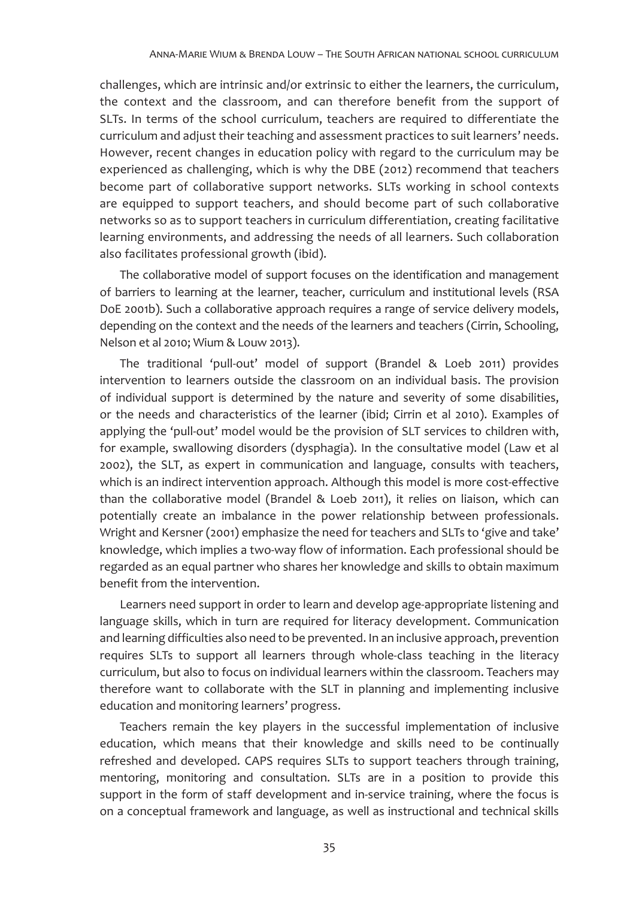challenges, which are intrinsic and/or extrinsic to either the learners, the curriculum, the context and the classroom, and can therefore benefit from the support of SLTs. In terms of the school curriculum, teachers are required to differentiate the curriculum and adjust their teaching and assessment practices to suit learners' needs. However, recent changes in education policy with regard to the curriculum may be experienced as challenging, which is why the DBE (2012) recommend that teachers become part of collaborative support networks. SLTs working in school contexts are equipped to support teachers, and should become part of such collaborative networks so as to support teachers in curriculum differentiation, creating facilitative learning environments, and addressing the needs of all learners. Such collaboration also facilitates professional growth (ibid).

The collaborative model of support focuses on the identification and management of barriers to learning at the learner, teacher, curriculum and institutional levels (RSA DoE 2001b). Such a collaborative approach requires a range of service delivery models, depending on the context and the needs of the learners and teachers (Cirrin, Schooling, Nelson et al 2010; Wium & Louw 2013).

The traditional 'pull-out' model of support (Brandel & Loeb 2011) provides intervention to learners outside the classroom on an individual basis. The provision of individual support is determined by the nature and severity of some disabilities, or the needs and characteristics of the learner (ibid; Cirrin et al 2010). Examples of applying the 'pull-out' model would be the provision of SLT services to children with, for example, swallowing disorders (dysphagia). In the consultative model (Law et al 2002), the SLT, as expert in communication and language, consults with teachers, which is an indirect intervention approach. Although this model is more cost-effective than the collaborative model (Brandel & Loeb 2011), it relies on liaison, which can potentially create an imbalance in the power relationship between professionals. Wright and Kersner (2001) emphasize the need for teachers and SLTs to 'give and take' knowledge, which implies a two-way flow of information. Each professional should be regarded as an equal partner who shares her knowledge and skills to obtain maximum benefit from the intervention.

Learners need support in order to learn and develop age-appropriate listening and language skills, which in turn are required for literacy development. Communication and learning difficulties also need to be prevented. In an inclusive approach, prevention requires SLTs to support all learners through whole-class teaching in the literacy curriculum, but also to focus on individual learners within the classroom. Teachers may therefore want to collaborate with the SLT in planning and implementing inclusive education and monitoring learners' progress.

Teachers remain the key players in the successful implementation of inclusive education, which means that their knowledge and skills need to be continually refreshed and developed. CAPS requires SLTs to support teachers through training, mentoring, monitoring and consultation. SLTs are in a position to provide this support in the form of staff development and in-service training, where the focus is on a conceptual framework and language, as well as instructional and technical skills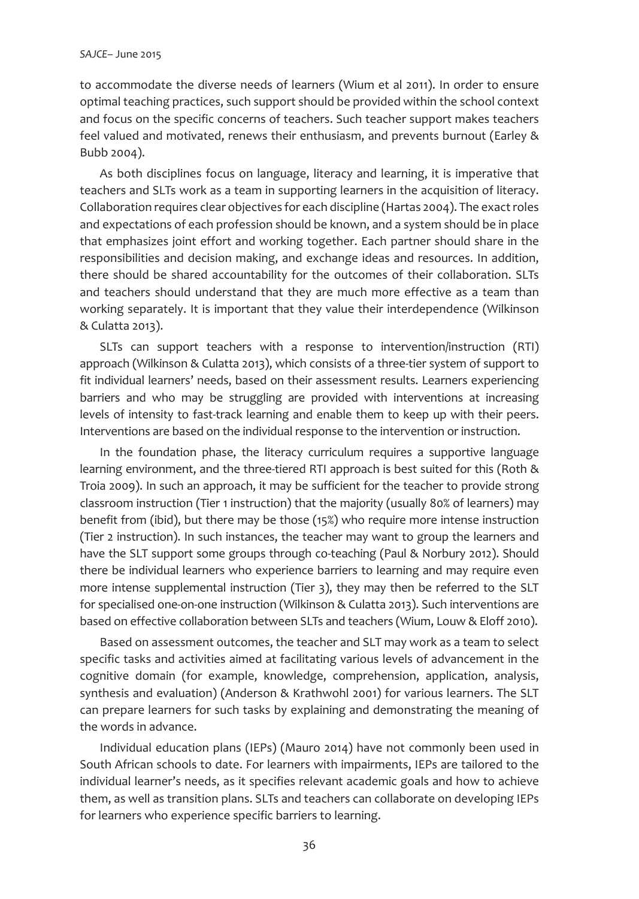to accommodate the diverse needs of learners (Wium et al 2011). In order to ensure optimal teaching practices, such support should be provided within the school context and focus on the specific concerns of teachers. Such teacher support makes teachers feel valued and motivated, renews their enthusiasm, and prevents burnout (Earley &  $B^{\text{ul}}$ bb 2004).

As both disciplines focus on language, literacy and learning, it is imperative that teachers and SLTs work as a team in supporting learners in the acquisition of literacy. Collaboration requires clear objectives for each discipline (Hartas 2004). The exact roles and expectations of each profession should be known, and a system should be in place that emphasizes joint effort and working together. Each partner should share in the responsibilities and decision making, and exchange ideas and resources. In addition, there should be shared accountability for the outcomes of their collaboration. SLTs and teachers should understand that they are much more effective as a team than working separately. It is important that they value their interdependence (Wilkinson & Culatta 2013).

SLTs can support teachers with a response to intervention/instruction (RTI) approach (Wilkinson & Culatta 2013), which consists of a three-tier system of support to fit individual learners' needs, based on their assessment results. Learners experiencing barriers and who may be struggling are provided with interventions at increasing levels of intensity to fast-track learning and enable them to keep up with their peers. Interventions are based on the individual response to the intervention or instruction.

In the foundation phase, the literacy curriculum requires a supportive language learning environment, and the three-tiered RTI approach is best suited for this (Roth & Troia 2009). In such an approach, it may be sufficient for the teacher to provide strong classroom instruction (Tier 1 instruction) that the majority (usually 80% of learners) may benefit from (ibid), but there may be those (15%) who require more intense instruction (Tier 2 instruction). In such instances, the teacher may want to group the learners and have the SLT support some groups through co-teaching (Paul & Norbury 2012). Should there be individual learners who experience barriers to learning and may require even more intense supplemental instruction (Tier 3), they may then be referred to the SLT for specialised one-on-one instruction (Wilkinson & Culatta 2013). Such interventions are based on effective collaboration between SLTs and teachers (Wium, Louw & Eloff 2010).

Based on assessment outcomes, the teacher and SLT may work as a team to select specific tasks and activities aimed at facilitating various levels of advancement in the cognitive domain (for example, knowledge, comprehension, application, analysis, synthesis and evaluation) (Anderson & Krathwohl 2001) for various learners. The SLT can prepare learners for such tasks by explaining and demonstrating the meaning of the words in advance.

Individual education plans (IEPs) (Mauro 2014) have not commonly been used in South African schools to date. For learners with impairments, IEPs are tailored to the individual learner's needs, as it specifies relevant academic goals and how to achieve them, as well as transition plans. SLTs and teachers can collaborate on developing IEPs for learners who experience specific barriers to learning.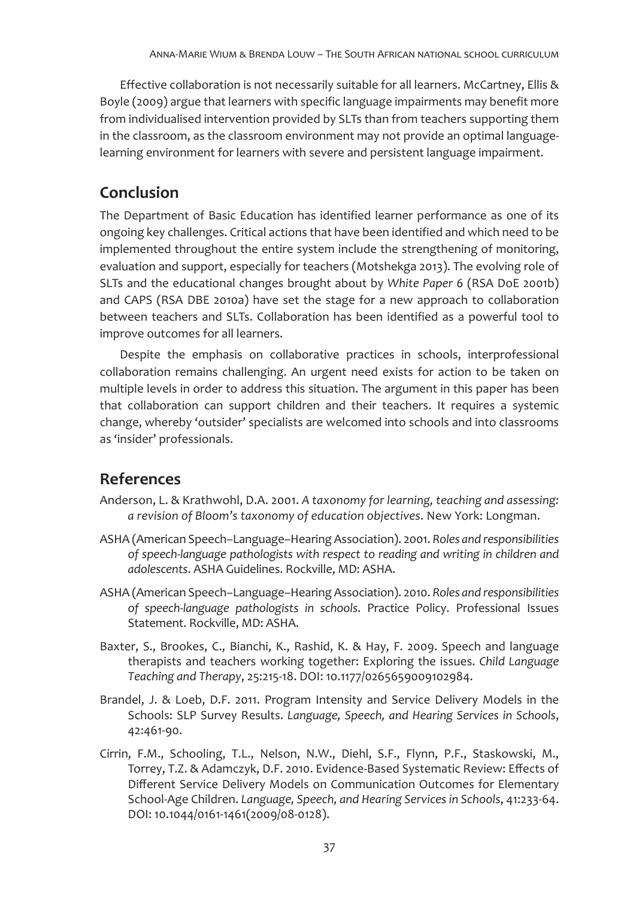Effective collaboration is not necessarily suitable for all learners. McCartney, Ellis & Boyle (2009) argue that learners with specific language impairments may benefit more from individualised intervention provided by SLTs than from teachers supporting them in the classroom, as the classroom environment may not provide an optimal languagelearning environment for learners with severe and persistent language impairment.

## **Conclusion**

The Department of Basic Education has identified learner performance as one of its ongoing key challenges. Critical actions that have been identified and which need to be implemented throughout the entire system include the strengthening of monitoring, evaluation and support, especially for teachers (Motshekga 2013). The evolving role of SLTs and the educational changes brought about by *White Paper 6* (RSA DoE 2001b) and CAPS (RSA DBE 2010a) have set the stage for a new approach to collaboration between teachers and SLTs. Collaboration has been identified as a powerful tool to improve outcomes for all learners.

Despite the emphasis on collaborative practices in schools, interprofessional collaboration remains challenging. An urgent need exists for action to be taken on multiple levels in order to address this situation. The argument in this paper has been that collaboration can support children and their teachers. It requires a systemic change, whereby 'outsider' specialists are welcomed into schools and into classrooms as 'insider' professionals.

## **References**

- Anderson, L. & Krathwohl, D.A. 2001. *A taxonomy for learning, teaching and assessing: a revision of Bloom's taxonomy of education objectives*. New York: Longman.
- ASHA (American Speech–Language–Hearing Association). 2001. *Roles and responsibilities of speech-language pathologists with respect to reading and writing in children and adolescents*. ASHA Guidelines. Rockville, MD: ASHA.
- ASHA (American Speech–Language–Hearing Association). 2010. *Roles and responsibilities of speech-language pathologists in schools*. Practice Policy. Professional Issues Statement. Rockville, MD: ASHA.
- Baxter, S., Brookes, C., Bianchi, K., Rashid, K. & Hay, F. 2009. Speech and language therapists and teachers working together: Exploring the issues. *Child Language Teaching and Therapy*, 25:215-18. DOI: 10.1177/0265659009102984.
- Brandel, J. & Loeb, D.F. 2011. Program Intensity and Service Delivery Models in the Schools: SLP Survey Results. *Language, Speech, and Hearing Services in Schools*, 42:461-90.
- Cirrin, F.M., Schooling, T.L., Nelson, N.W., Diehl, S.F., Flynn, P.F., Staskowski, M., Torrey, T.Z. & Adamczyk, D.F. 2010. Evidence-Based Systematic Review: Effects of Different Service Delivery Models on Communication Outcomes for Elementary School-Age Children. *Language, Speech, and Hearing Services in Schools*, 41:233-64. DOI: 10.1044/0161-1461(2009/08-0128).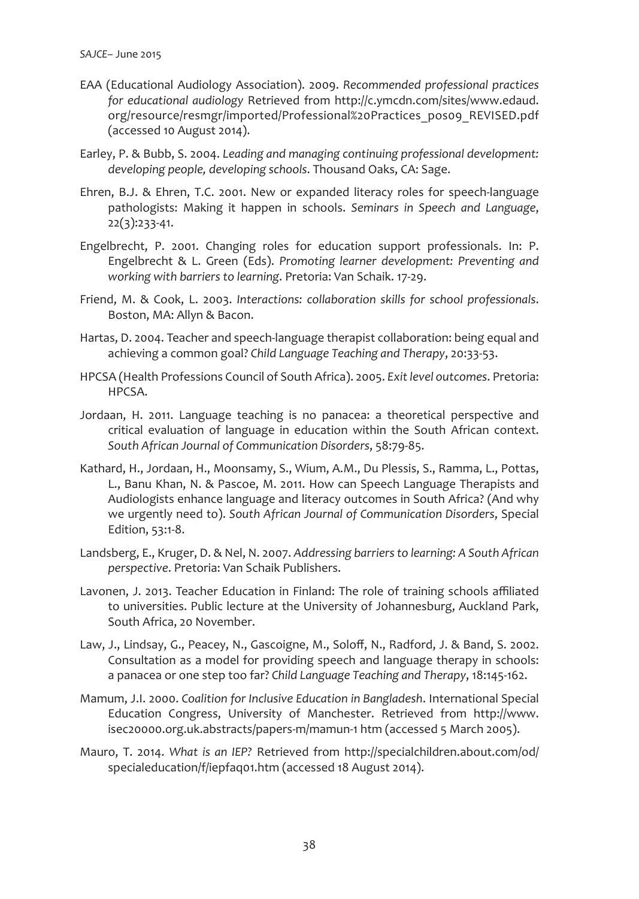- EAA (Educational Audiology Association). 2009. *Recommended professional practices for educational audiology* Retrieved from http://c.ymcdn.com/sites/www.edaud. org/resource/resmgr/imported/Professional%20Practices\_pos09\_REVISED.pdf (accessed 10 August 2014).
- Earley, P. & Bubb, S. 2004. *Leading and managing continuing professional development: developing people, developing schools*. Thousand Oaks, CA: Sage.
- Ehren, B.J. & Ehren, T.C. 2001. New or expanded literacy roles for speech-language pathologists: Making it happen in schools. *Seminars in Speech and Language*, 22(3):233-41.
- Engelbrecht, P. 2001. Changing roles for education support professionals. In: P. Engelbrecht & L. Green (Eds). *Promoting learner development: Preventing and working with barriers to learning*. Pretoria: Van Schaik. 17-29.
- Friend, M. & Cook, L. 2003. *Interactions: collaboration skills for school professionals*. Boston, MA: Allyn & Bacon.
- Hartas, D. 2004. Teacher and speech-language therapist collaboration: being equal and achieving a common goal? *Child Language Teaching and Therapy*, 20:33-53.
- HPCSA (Health Professions Council of South Africa). 2005. *Exit level outcomes*. Pretoria: HPCSA.
- Jordaan, H. 2011. Language teaching is no panacea: a theoretical perspective and critical evaluation of language in education within the South African context. *South African Journal of Communication Disorders*, 58:79-85.
- Kathard, H., Jordaan, H., Moonsamy, S., Wium, A.M., Du Plessis, S., Ramma, L., Pottas, L., Banu Khan, N. & Pascoe, M. 2011. How can Speech Language Therapists and Audiologists enhance language and literacy outcomes in South Africa? (And why we urgently need to). *South African Journal of Communication Disorders*, Special Edition, 53:1-8.
- Landsberg, E., Kruger, D. & Nel, N. 2007. *Addressing barriers to learning: A South African perspective*. Pretoria: Van Schaik Publishers.
- Lavonen, J. 2013. Teacher Education in Finland: The role of training schools affiliated to universities. Public lecture at the University of Johannesburg, Auckland Park, South Africa, 20 November.
- Law, J., Lindsay, G., Peacey, N., Gascoigne, M., Soloff, N., Radford, J. & Band, S. 2002. Consultation as a model for providing speech and language therapy in schools: a panacea or one step too far? *Child Language Teaching and Therapy*, 18:145-162.
- Mamum, J.I. 2000. *Coalition for Inclusive Education in Bangladesh*. International Special Education Congress, University of Manchester. Retrieved from http://www. isec20000.org.uk.abstracts/papers-m/mamun-1 htm (accessed 5 March 2005).
- Mauro, T. 2014. *What is an IEP?* Retrieved from http://specialchildren.about.com/od/ specialeducation/f/iepfaq01.htm (accessed 18 August 2014).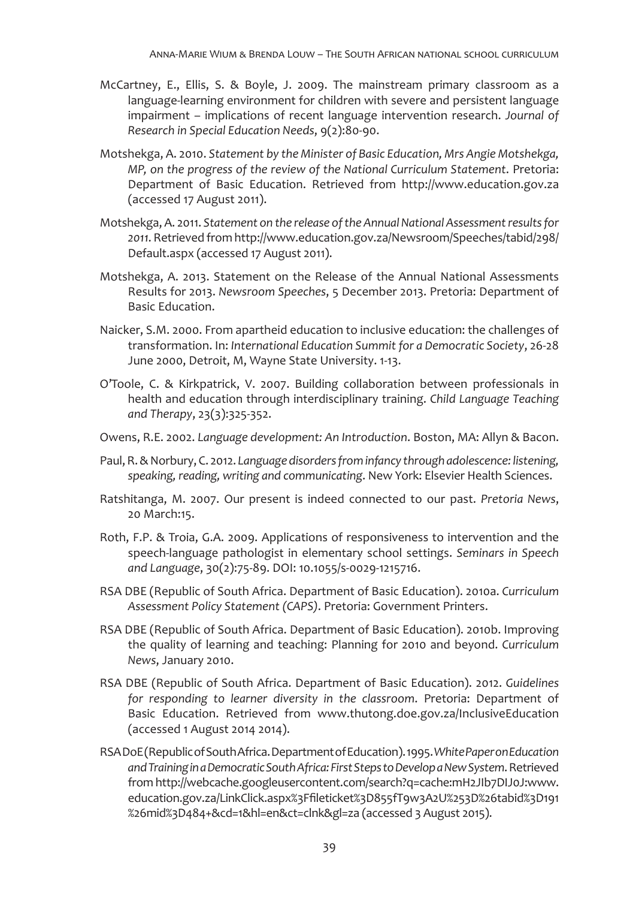- McCartney, E., Ellis, S. & Boyle, J. 2009. The mainstream primary classroom as a language-learning environment for children with severe and persistent language impairment – implications of recent language intervention research. *Journal of Research in Special Education Needs*, 9(2):80-90.
- Motshekga, A. 2010. *Statement by the Minister of Basic Education, Mrs Angie Motshekga, MP, on the progress of the review of the National Curriculum Statement*. Pretoria: Department of Basic Education. Retrieved from http://www.education.gov.za (accessed 17 August 2011).
- Motshekga, A. 2011. *Statement on the release of the Annual National Assessment results for 2011*. Retrieved from http://www.education.gov.za/Newsroom/Speeches/tabid/298/ Default.aspx (accessed 17 August 2011).
- Motshekga, A. 2013. Statement on the Release of the Annual National Assessments Results for 2013. *Newsroom Speeches*, 5 December 2013. Pretoria: Department of Basic Education.
- Naicker, S.M. 2000. From apartheid education to inclusive education: the challenges of transformation. In: *International Education Summit for a Democratic Society*, 26-28 June 2000, Detroit, M, Wayne State University. 1-13.
- O'Toole, C. & Kirkpatrick, V. 2007. Building collaboration between professionals in health and education through interdisciplinary training. *Child Language Teaching and Therapy*, 23(3):325-352.
- Owens, R.E. 2002. *Language development: An Introduction*. Boston, MA: Allyn & Bacon.
- Paul, R. & Norbury, C. 2012. *Language disorders from infancy through adolescence: listening, speaking, reading, writing and communicating*. New York: Elsevier Health Sciences.
- Ratshitanga, M. 2007. Our present is indeed connected to our past. *Pretoria News*, 20 March:15.
- Roth, F.P. & Troia, G.A. 2009. Applications of responsiveness to intervention and the speech-language pathologist in elementary school settings. *Seminars in Speech and Language*, 30(2):75-89. DOI: 10.1055/s-0029-1215716.
- RSA DBE (Republic of South Africa. Department of Basic Education). 2010a. *Curriculum Assessment Policy Statement (CAPS)*. Pretoria: Government Printers.
- RSA DBE (Republic of South Africa. Department of Basic Education). 2010b. Improving the quality of learning and teaching: Planning for 2010 and beyond. *Curriculum News*, January 2010.
- RSA DBE (Republic of South Africa. Department of Basic Education). 2012. *Guidelines for responding to learner diversity in the classroom*. Pretoria: Department of Basic Education. Retrieved from www.thutong.doe.gov.za/InclusiveEducation (accessed 1 August 2014 2014).
- RSA DoE (Republic of South Africa. Department of Education). 1995. *White Paper on Education and Training in a Democratic South Africa: First Steps to Develop a New System*. Retrieved from http://webcache.googleusercontent.com/search?q=cache:mH2JIb7DIJ0J:www. education.gov.za/LinkClick.aspx%3Ffileticket%3D855fT9w3A2U%253D%26tabid%3D191 %26mid%3D484+&cd=1&hl=en&ct=clnk&gl=za (accessed 3 August 2015).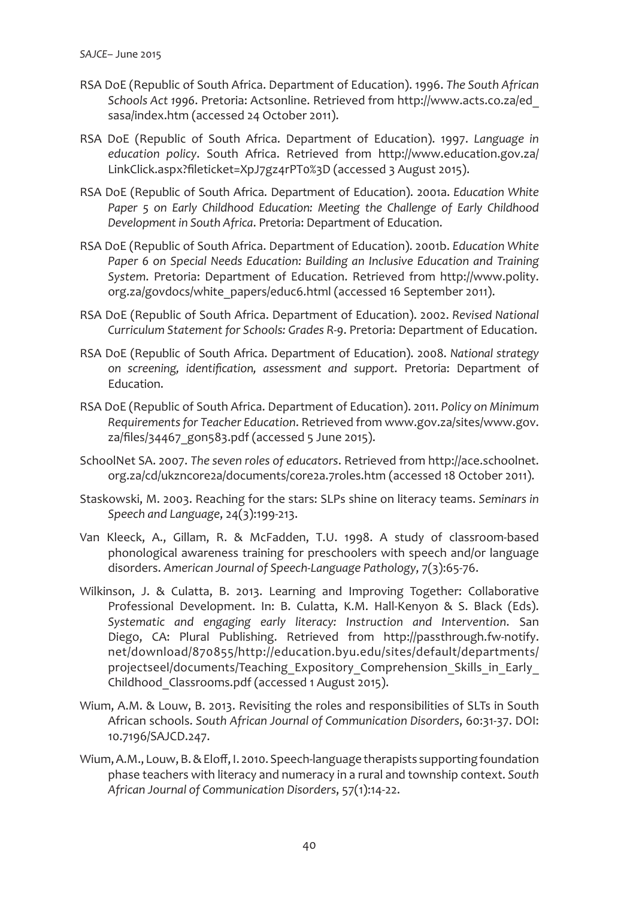- RSA DoE (Republic of South Africa. Department of Education). 1996. *The South African Schools Act 1996*. Pretoria: Actsonline. Retrieved from http://www.acts.co.za/ed\_ sasa/index.htm (accessed 24 October 2011).
- RSA DoE (Republic of South Africa. Department of Education). 1997. *Language in education policy*. South Africa. Retrieved from http://www.education.gov.za/ LinkClick.aspx?fileticket=XpJ7gz4rPT0%3D (accessed 3 August 2015).
- RSA DoE (Republic of South Africa. Department of Education). 2001a. *Education White Paper 5 on Early Childhood Education: Meeting the Challenge of Early Childhood Development in South Africa*. Pretoria: Department of Education.
- RSA DoE (Republic of South Africa. Department of Education). 2001b. *Education White Paper 6 on Special Needs Education: Building an Inclusive Education and Training System*. Pretoria: Department of Education. Retrieved from http://www.polity. org.za/govdocs/white\_papers/educ6.html (accessed 16 September 2011).
- RSA DoE (Republic of South Africa. Department of Education). 2002. *Revised National Curriculum Statement for Schools: Grades R-9*. Pretoria: Department of Education.
- RSA DoE (Republic of South Africa. Department of Education). 2008. *National strategy on screening, identification, assessment and support*. Pretoria: Department of Education.
- RSA DoE (Republic of South Africa. Department of Education). 2011. *Policy on Minimum Requirements for Teacher Education*. Retrieved from www.gov.za/sites/www.gov. za/files/34467\_gon583.pdf (accessed 5 June 2015).
- SchoolNet SA. 2007. *The seven roles of educators*. Retrieved from http://ace.schoolnet. org.za/cd/ukzncore2a/documents/core2a.7roles.htm (accessed 18 October 2011).
- Staskowski, M. 2003. Reaching for the stars: SLPs shine on literacy teams. *Seminars in Speech and Language*, 24(3):199-213.
- Van Kleeck, A., Gillam, R. & McFadden, T.U. 1998. A study of classroom-based phonological awareness training for preschoolers with speech and/or language disorders. *American Journal of Speech-Language Pathology*, 7(3):65-76.
- Wilkinson, J. & Culatta, B. 2013. Learning and Improving Together: Collaborative Professional Development. In: B. Culatta, K.M. Hall-Kenyon & S. Black (Eds). *Systematic and engaging early literacy: Instruction and Intervention*. San Diego, CA: Plural Publishing. Retrieved from http://passthrough.fw-notify. net/download/870855/http://education.byu.edu/sites/default/departments/ projectseel/documents/Teaching\_Expository\_Comprehension\_Skills\_in\_Early\_ Childhood\_Classrooms.pdf (accessed 1 August 2015).
- Wium, A.M. & Louw, B. 2013. Revisiting the roles and responsibilities of SLTs in South African schools. *South African Journal of Communication Disorders*, 60:31-37. DOI: 10.7196/SAJCD.247.
- Wium, A.M., Louw, B. & Eloff, I. 2010. Speech-language therapists supporting foundation phase teachers with literacy and numeracy in a rural and township context. *South African Journal of Communication Disorders*, 57(1):14-22.